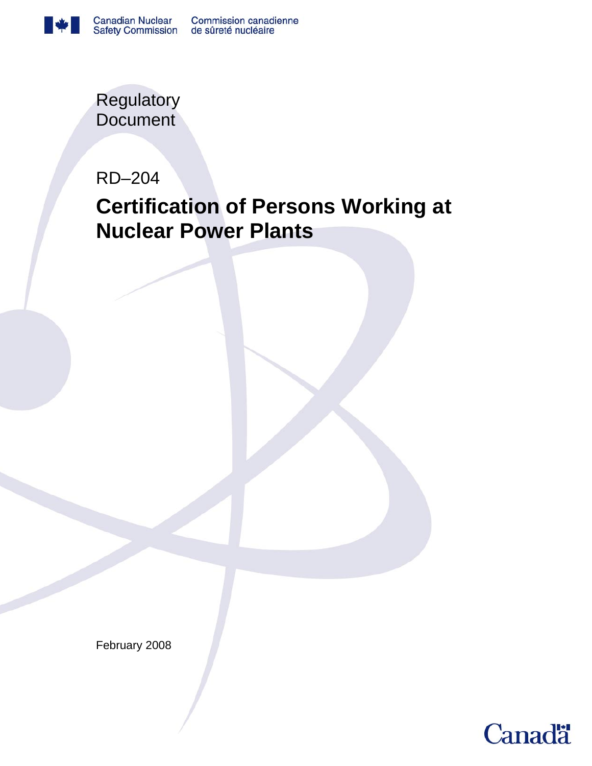

**Regulatory Document** 

RD–204

# **Certification of Persons Working at Nuclear Power Plants**

February 2008

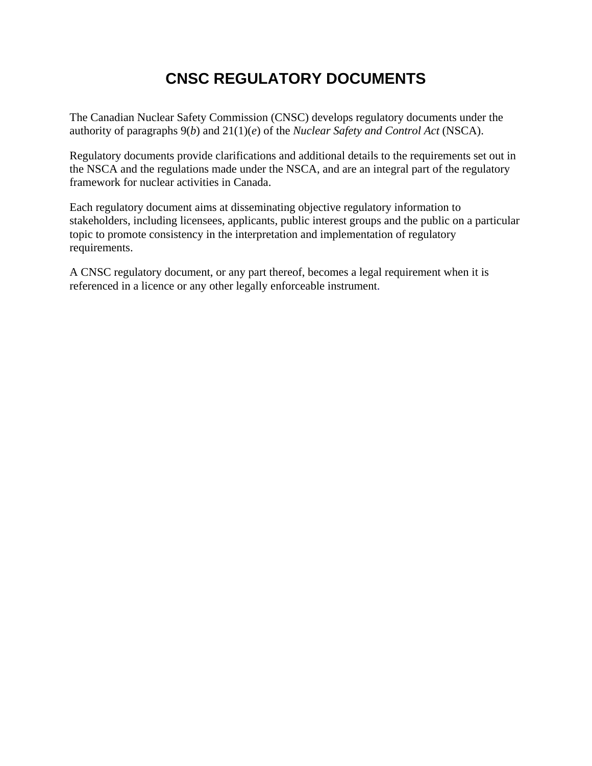# **CNSC REGULATORY DOCUMENTS**

The Canadian Nuclear Safety Commission (CNSC) develops regulatory documents under the authority of paragraphs 9(*b*) and 21(1)(*e*) of the *Nuclear Safety and Control Act* (NSCA).

Regulatory documents provide clarifications and additional details to the requirements set out in the NSCA and the regulations made under the NSCA, and are an integral part of the regulatory framework for nuclear activities in Canada.

Each regulatory document aims at disseminating objective regulatory information to stakeholders, including licensees, applicants, public interest groups and the public on a particular topic to promote consistency in the interpretation and implementation of regulatory requirements.

A CNSC regulatory document, or any part thereof, becomes a legal requirement when it is referenced in a licence or any other legally enforceable instrument.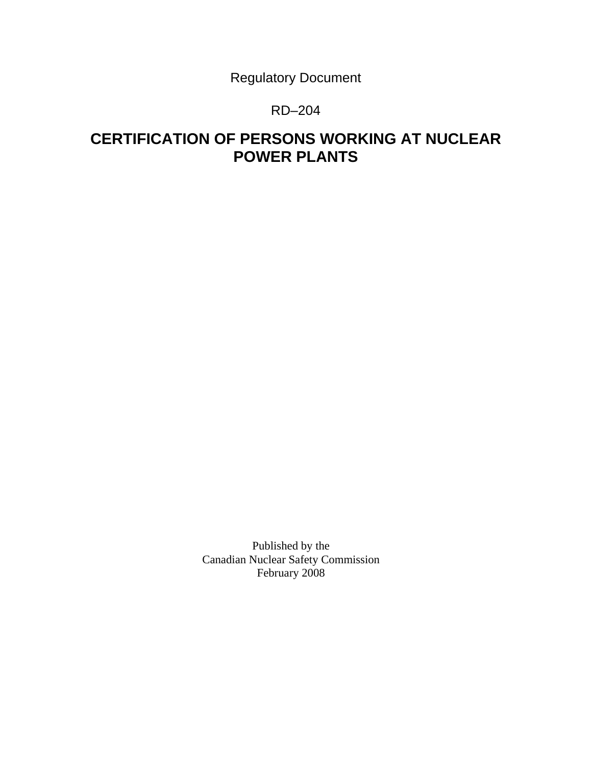Regulatory Document

# RD–204

# **CERTIFICATION OF PERSONS WORKING AT NUCLEAR POWER PLANTS**

Published by the Canadian Nuclear Safety Commission February 2008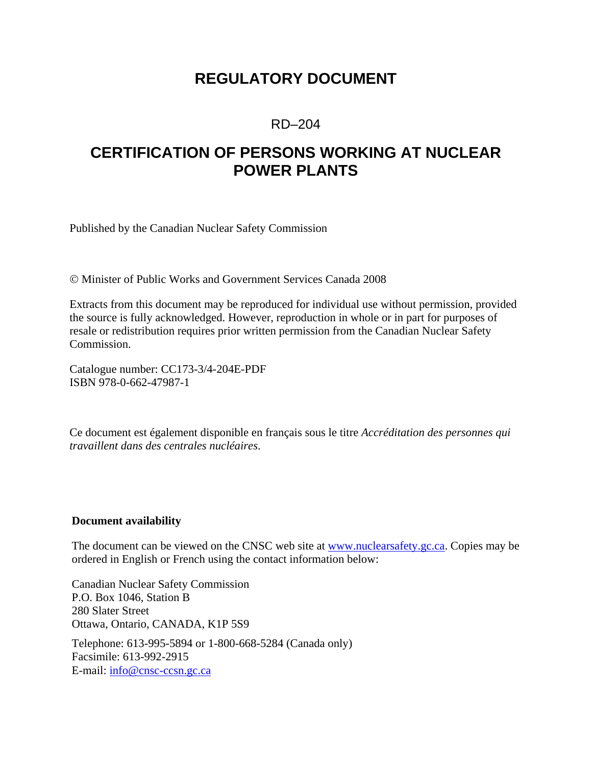# **REGULATORY DOCUMENT**

## RD–204

# **CERTIFICATION OF PERSONS WORKING AT NUCLEAR POWER PLANTS**

Published by the Canadian Nuclear Safety Commission

© Minister of Public Works and Government Services Canada 2008

Extracts from this document may be reproduced for individual use without permission, provided the source is fully acknowledged. However, reproduction in whole or in part for purposes of resale or redistribution requires prior written permission from the Canadian Nuclear Safety Commission.

Catalogue number: CC173-3/4-204E-PDF ISBN 978-0-662-47987-1

Ce document est également disponible en français sous le titre *Accréditation des personnes qui travaillent dans des centrales nucléaires*.

#### **Document availability**

The document can be viewed on the CNSC web site at **www.nuclearsafety.gc.ca**. Copies may be ordered in English or French using the contact information below:

Canadian Nuclear Safety Commission P.O. Box 1046, Station B 280 Slater Street Ottawa, Ontario, CANADA, K1P 5S9 Telephone: 613-995-5894 or 1-800-668-5284 (Canada only) Facsimile: 613-992-2915 E-mail: info@cnsc-ccsn.gc.ca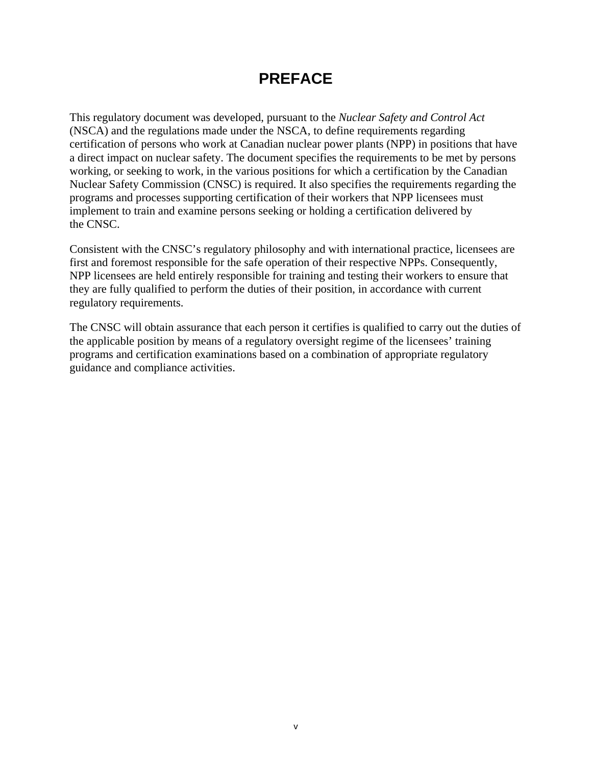# **PREFACE**

This regulatory document was developed, pursuant to the *Nuclear Safety and Control Act*  (NSCA) and the regulations made under the NSCA, to define requirements regarding certification of persons who work at Canadian nuclear power plants (NPP) in positions that have a direct impact on nuclear safety. The document specifies the requirements to be met by persons working, or seeking to work, in the various positions for which a certification by the Canadian Nuclear Safety Commission (CNSC) is required. It also specifies the requirements regarding the programs and processes supporting certification of their workers that NPP licensees must implement to train and examine persons seeking or holding a certification delivered by the CNSC.

Consistent with the CNSC's regulatory philosophy and with international practice, licensees are first and foremost responsible for the safe operation of their respective NPPs. Consequently, NPP licensees are held entirely responsible for training and testing their workers to ensure that they are fully qualified to perform the duties of their position, in accordance with current regulatory requirements.

The CNSC will obtain assurance that each person it certifies is qualified to carry out the duties of the applicable position by means of a regulatory oversight regime of the licensees' training programs and certification examinations based on a combination of appropriate regulatory guidance and compliance activities.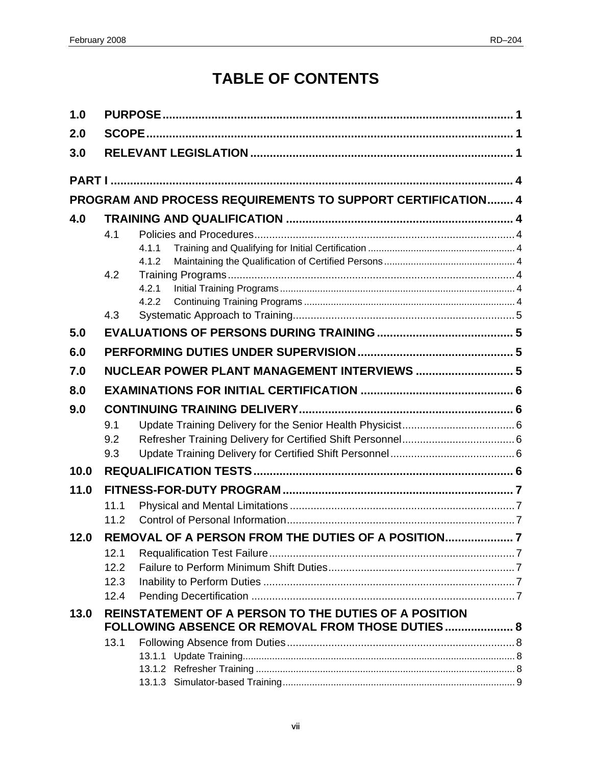# **TABLE OF CONTENTS**

| 1.0  |              |                                                             |  |
|------|--------------|-------------------------------------------------------------|--|
| 2.0  |              |                                                             |  |
| 3.0  |              |                                                             |  |
|      |              |                                                             |  |
|      |              | PROGRAM AND PROCESS REQUIREMENTS TO SUPPORT CERTIFICATION 4 |  |
| 4.0  |              |                                                             |  |
|      | 4.1          |                                                             |  |
|      |              | 4.1.1                                                       |  |
|      |              | 4.1.2                                                       |  |
|      | 4.2          | 4.2.1                                                       |  |
|      |              | 4.2.2                                                       |  |
|      | 4.3          |                                                             |  |
| 5.0  |              |                                                             |  |
| 6.0  |              |                                                             |  |
| 7.0  |              | NUCLEAR POWER PLANT MANAGEMENT INTERVIEWS  5                |  |
| 8.0  |              |                                                             |  |
| 9.0  |              |                                                             |  |
|      | 9.1          |                                                             |  |
|      | 9.2          |                                                             |  |
|      | 9.3          |                                                             |  |
| 10.0 |              |                                                             |  |
| 11.0 |              |                                                             |  |
|      | 11.1         |                                                             |  |
|      | 11.2         |                                                             |  |
| 12.0 |              | REMOVAL OF A PERSON FROM THE DUTIES OF A POSITION           |  |
|      | 12.1         |                                                             |  |
|      | 12.2<br>12.3 |                                                             |  |
|      | 12.4         |                                                             |  |
| 13.0 |              | REINSTATEMENT OF A PERSON TO THE DUTIES OF A POSITION       |  |
|      |              | FOLLOWING ABSENCE OR REMOVAL FROM THOSE DUTIES 8            |  |
|      | 13.1         |                                                             |  |
|      |              |                                                             |  |
|      |              |                                                             |  |
|      |              |                                                             |  |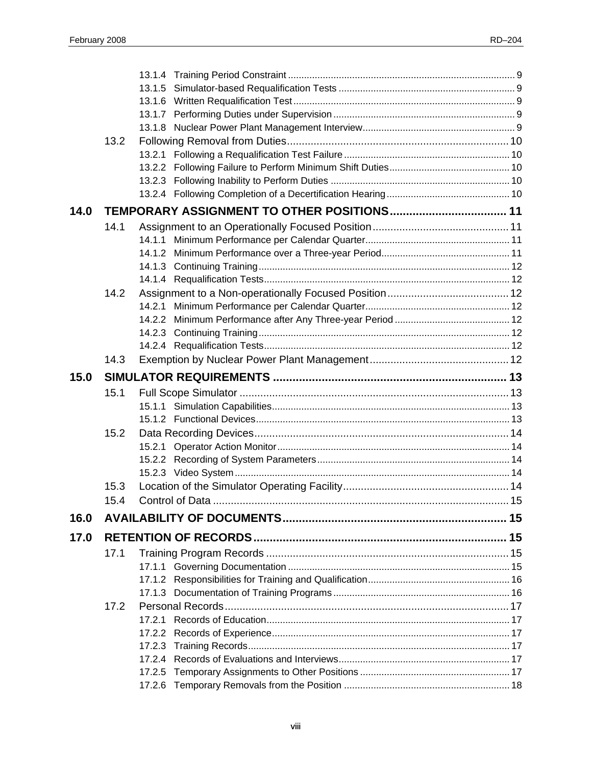|      | 13.2        |  |  |
|------|-------------|--|--|
|      |             |  |  |
|      |             |  |  |
|      |             |  |  |
|      |             |  |  |
| 14.0 |             |  |  |
|      | 14.1        |  |  |
|      |             |  |  |
|      |             |  |  |
|      |             |  |  |
|      |             |  |  |
|      | 14.2        |  |  |
|      |             |  |  |
|      |             |  |  |
|      |             |  |  |
|      |             |  |  |
|      | 14.3        |  |  |
| 15.0 |             |  |  |
|      | 15.1        |  |  |
|      |             |  |  |
|      |             |  |  |
|      | 15.2        |  |  |
|      |             |  |  |
|      |             |  |  |
|      |             |  |  |
|      | 15.3        |  |  |
|      | 15 $\Delta$ |  |  |
|      |             |  |  |
| 16.0 |             |  |  |
| 17.0 |             |  |  |
|      | 17.1        |  |  |
|      |             |  |  |
|      |             |  |  |
|      |             |  |  |
|      | 17.2        |  |  |
|      |             |  |  |
|      |             |  |  |
|      |             |  |  |
|      |             |  |  |
|      |             |  |  |
|      |             |  |  |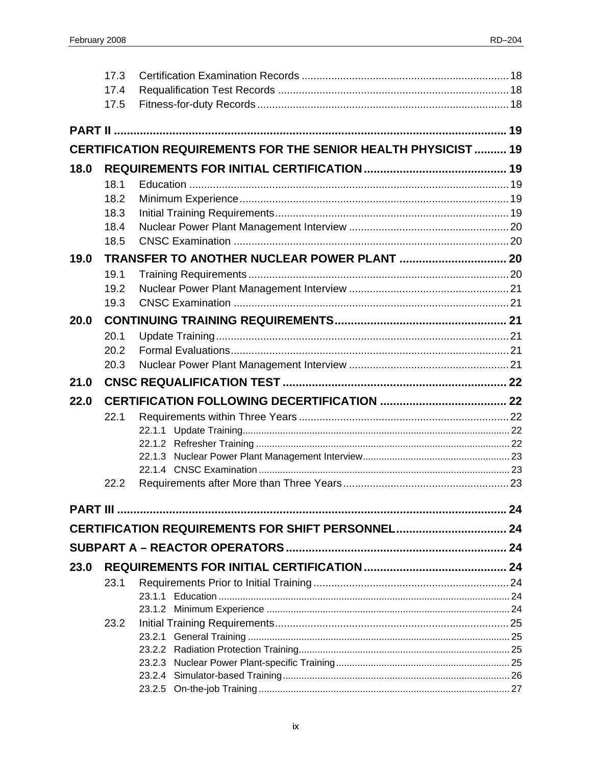|      | 17.3 |                                                                       |  |
|------|------|-----------------------------------------------------------------------|--|
|      | 17.4 |                                                                       |  |
|      | 17.5 |                                                                       |  |
|      |      |                                                                       |  |
|      |      | <b>CERTIFICATION REQUIREMENTS FOR THE SENIOR HEALTH PHYSICIST  19</b> |  |
| 18.0 |      |                                                                       |  |
|      | 18.1 |                                                                       |  |
|      | 18.2 |                                                                       |  |
|      | 18.3 |                                                                       |  |
|      | 18.4 |                                                                       |  |
|      | 18.5 |                                                                       |  |
| 19.0 |      |                                                                       |  |
|      | 19.1 |                                                                       |  |
|      | 19.2 |                                                                       |  |
|      | 19.3 |                                                                       |  |
| 20.0 |      |                                                                       |  |
|      | 20.1 |                                                                       |  |
|      | 20.2 |                                                                       |  |
|      | 20.3 |                                                                       |  |
| 21.0 |      |                                                                       |  |
| 22.0 |      |                                                                       |  |
|      | 22.1 |                                                                       |  |
|      |      |                                                                       |  |
|      |      |                                                                       |  |
|      |      |                                                                       |  |
|      |      |                                                                       |  |
|      |      |                                                                       |  |
|      | 22.2 |                                                                       |  |
|      |      |                                                                       |  |
|      |      | CERTIFICATION REQUIREMENTS FOR SHIFT PERSONNEL 24                     |  |
|      |      |                                                                       |  |
| 23.0 |      |                                                                       |  |
|      | 23.1 |                                                                       |  |
|      |      |                                                                       |  |
|      |      |                                                                       |  |
|      | 23.2 |                                                                       |  |
|      |      |                                                                       |  |
|      |      |                                                                       |  |
|      |      |                                                                       |  |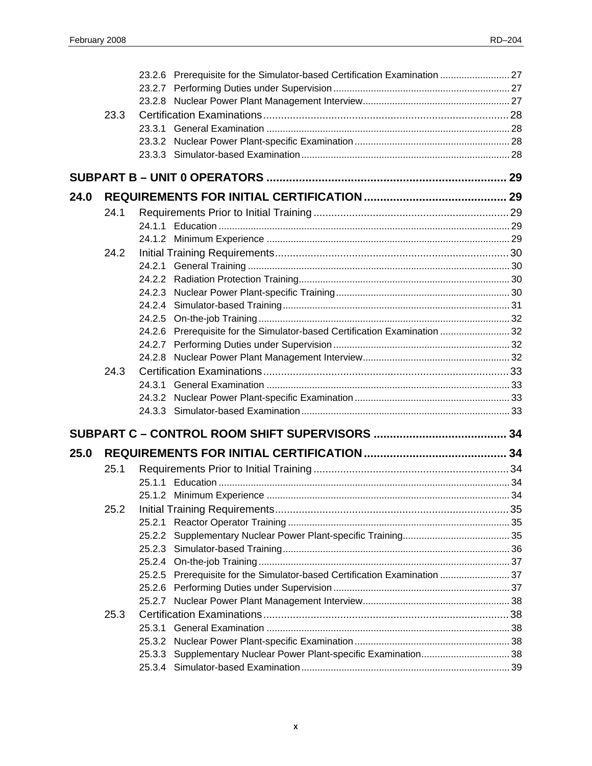|      |      | 23.2.6 Prerequisite for the Simulator-based Certification Examination  27 |  |  |
|------|------|---------------------------------------------------------------------------|--|--|
|      |      |                                                                           |  |  |
|      |      |                                                                           |  |  |
|      | 23.3 |                                                                           |  |  |
|      |      | 23.3.1                                                                    |  |  |
|      |      |                                                                           |  |  |
|      |      |                                                                           |  |  |
|      |      |                                                                           |  |  |
| 24.0 |      |                                                                           |  |  |
|      | 24.1 |                                                                           |  |  |
|      |      |                                                                           |  |  |
|      |      |                                                                           |  |  |
|      | 24.2 |                                                                           |  |  |
|      |      |                                                                           |  |  |
|      |      |                                                                           |  |  |
|      |      |                                                                           |  |  |
|      |      |                                                                           |  |  |
|      |      |                                                                           |  |  |
|      |      | 24.2.6 Prerequisite for the Simulator-based Certification Examination  32 |  |  |
|      |      |                                                                           |  |  |
|      |      |                                                                           |  |  |
|      | 24.3 |                                                                           |  |  |
|      |      | 24.3.1                                                                    |  |  |
|      |      |                                                                           |  |  |
|      |      |                                                                           |  |  |
|      |      |                                                                           |  |  |
| 25.0 |      |                                                                           |  |  |
|      | 25.1 |                                                                           |  |  |
|      |      |                                                                           |  |  |
|      |      |                                                                           |  |  |
|      | 25.2 |                                                                           |  |  |
|      |      | 25.2.1                                                                    |  |  |
|      |      | 25.2.2                                                                    |  |  |
|      |      |                                                                           |  |  |
|      |      |                                                                           |  |  |
|      |      | 25.2.5 Prerequisite for the Simulator-based Certification Examination  37 |  |  |
|      |      |                                                                           |  |  |
|      |      |                                                                           |  |  |
|      | 25.3 |                                                                           |  |  |
|      |      | 25.3.1                                                                    |  |  |
|      |      | 25.3.3 Supplementary Nuclear Power Plant-specific Examination 38          |  |  |
|      |      |                                                                           |  |  |
|      |      |                                                                           |  |  |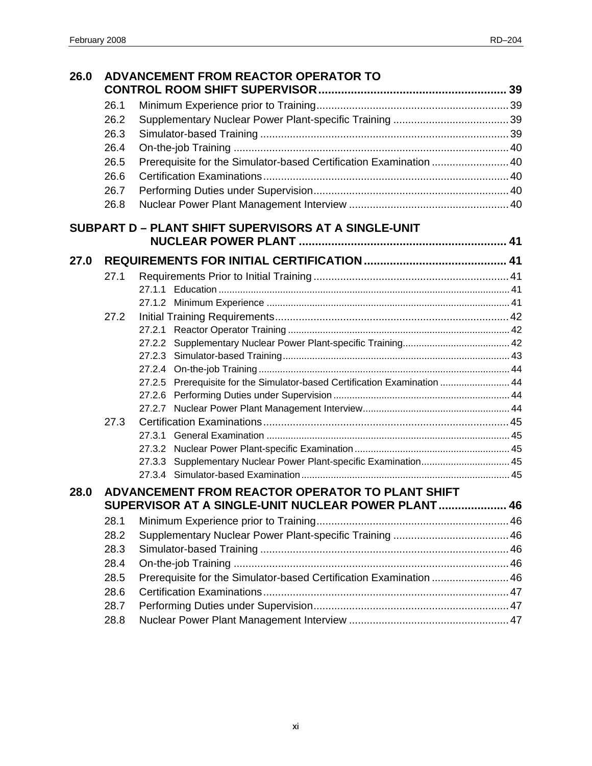| 26.0 |      | ADVANCEMENT FROM REACTOR OPERATOR TO                                      |  |
|------|------|---------------------------------------------------------------------------|--|
|      | 26.1 |                                                                           |  |
|      | 26.2 |                                                                           |  |
|      | 26.3 |                                                                           |  |
|      | 26.4 |                                                                           |  |
|      | 26.5 | Prerequisite for the Simulator-based Certification Examination  40        |  |
|      | 26.6 |                                                                           |  |
|      | 26.7 |                                                                           |  |
|      | 26.8 |                                                                           |  |
|      |      | SUBPART D - PLANT SHIFT SUPERVISORS AT A SINGLE-UNIT                      |  |
| 27.0 |      |                                                                           |  |
|      | 27.1 |                                                                           |  |
|      |      |                                                                           |  |
|      |      |                                                                           |  |
|      | 27.2 |                                                                           |  |
|      |      |                                                                           |  |
|      |      |                                                                           |  |
|      |      |                                                                           |  |
|      |      |                                                                           |  |
|      |      | 27.2.5 Prerequisite for the Simulator-based Certification Examination  44 |  |
|      |      |                                                                           |  |
|      | 27.3 |                                                                           |  |
|      |      |                                                                           |  |
|      |      |                                                                           |  |
|      |      | 27.3.3 Supplementary Nuclear Power Plant-specific Examination 45          |  |
|      |      |                                                                           |  |
| 28.0 |      | ADVANCEMENT FROM REACTOR OPERATOR TO PLANT SHIFT                          |  |
|      |      | SUPERVISOR AT A SINGLE-UNIT NUCLEAR POWER PLANT 46                        |  |
|      | 28.1 |                                                                           |  |
|      | 28.2 |                                                                           |  |
|      | 28.3 |                                                                           |  |
|      | 28.4 |                                                                           |  |
|      | 28.5 | Prerequisite for the Simulator-based Certification Examination  46        |  |
|      | 28.6 |                                                                           |  |
|      | 28.7 |                                                                           |  |
|      | 28.8 |                                                                           |  |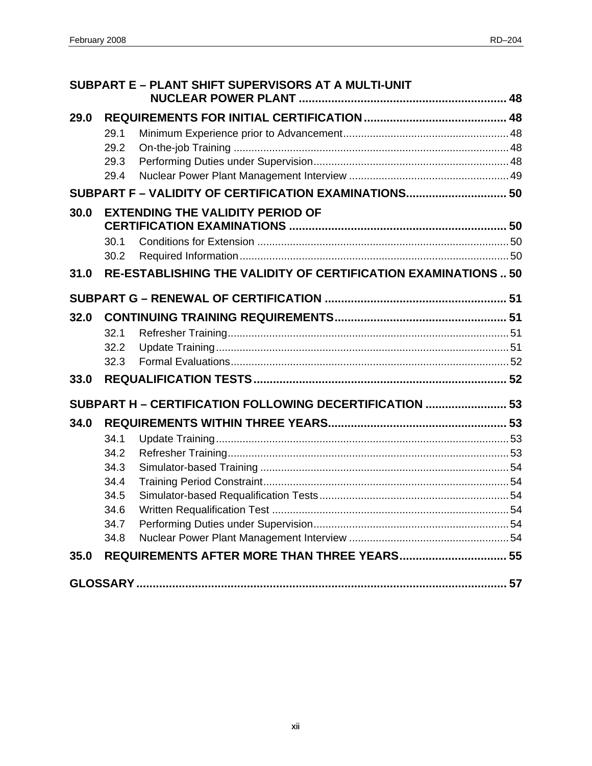|      |      | SUBPART E - PLANT SHIFT SUPERVISORS AT A MULTI-UNIT            |  |
|------|------|----------------------------------------------------------------|--|
| 29.0 |      |                                                                |  |
|      | 29.1 |                                                                |  |
|      | 29.2 |                                                                |  |
|      | 29.3 |                                                                |  |
|      | 29.4 |                                                                |  |
|      |      | SUBPART F - VALIDITY OF CERTIFICATION EXAMINATIONS 50          |  |
| 30.0 |      | <b>EXTENDING THE VALIDITY PERIOD OF</b>                        |  |
|      | 30.1 |                                                                |  |
|      | 30.2 |                                                                |  |
| 31.0 |      | RE-ESTABLISHING THE VALIDITY OF CERTIFICATION EXAMINATIONS  50 |  |
|      |      |                                                                |  |
| 32.0 |      |                                                                |  |
|      | 32.1 |                                                                |  |
|      | 32.2 |                                                                |  |
|      | 32.3 |                                                                |  |
| 33.0 |      |                                                                |  |
|      |      | SUBPART H - CERTIFICATION FOLLOWING DECERTIFICATION  53        |  |
| 34.0 |      |                                                                |  |
|      | 34.1 |                                                                |  |
|      | 34.2 |                                                                |  |
|      | 34.3 |                                                                |  |
|      | 34.4 |                                                                |  |
|      | 34.5 |                                                                |  |
|      | 34.6 |                                                                |  |
|      | 34.7 |                                                                |  |
|      | 34.8 |                                                                |  |
| 35.0 |      | REQUIREMENTS AFTER MORE THAN THREE YEARS 55                    |  |
|      |      |                                                                |  |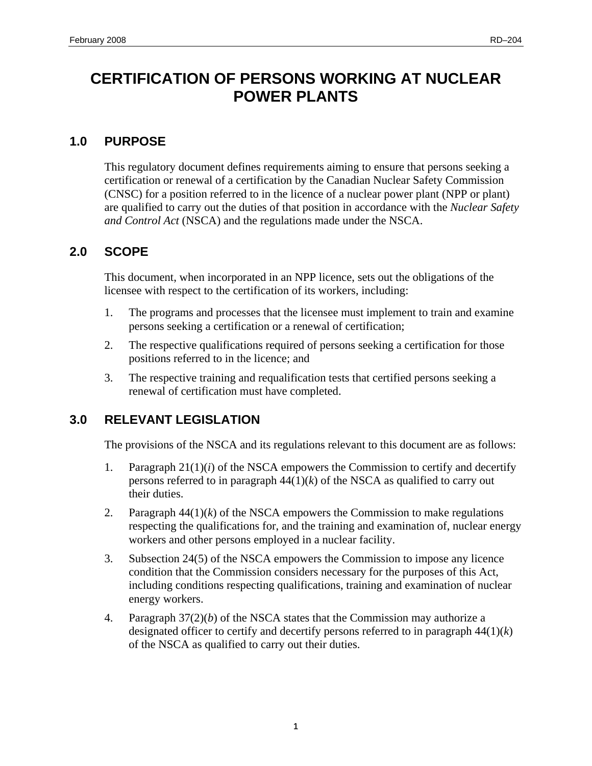# <span id="page-12-0"></span>**CERTIFICATION OF PERSONS WORKING AT NUCLEAR POWER PLANTS**

## **1.0 PURPOSE**

This regulatory document defines requirements aiming to ensure that persons seeking a certification or renewal of a certification by the Canadian Nuclear Safety Commission (CNSC) for a position referred to in the licence of a nuclear power plant (NPP or plant) are qualified to carry out the duties of that position in accordance with the *Nuclear Safety and Control Act* (NSCA) and the regulations made under the NSCA.

# **2.0 SCOPE**

This document, when incorporated in an NPP licence, sets out the obligations of the licensee with respect to the certification of its workers, including:

- 1. The programs and processes that the licensee must implement to train and examine persons seeking a certification or a renewal of certification;
- 2. The respective qualifications required of persons seeking a certification for those positions referred to in the licence; and
- 3. The respective training and requalification tests that certified persons seeking a renewal of certification must have completed.

# **3.0 RELEVANT LEGISLATION**

The provisions of the NSCA and its regulations relevant to this document are as follows:

- 1. Paragraph  $21(1)(i)$  of the NSCA empowers the Commission to certify and decertify persons referred to in paragraph 44(1)(*k*) of the NSCA as qualified to carry out their duties.
- 2. Paragraph  $44(1)(k)$  of the NSCA empowers the Commission to make regulations respecting the qualifications for, and the training and examination of, nuclear energy workers and other persons employed in a nuclear facility.
- 3. Subsection 24(5) of the NSCA empowers the Commission to impose any licence condition that the Commission considers necessary for the purposes of this Act, including conditions respecting qualifications, training and examination of nuclear energy workers.
- 4. Paragraph  $37(2)(b)$  of the NSCA states that the Commission may authorize a designated officer to certify and decertify persons referred to in paragraph 44(1)(*k*) of the NSCA as qualified to carry out their duties.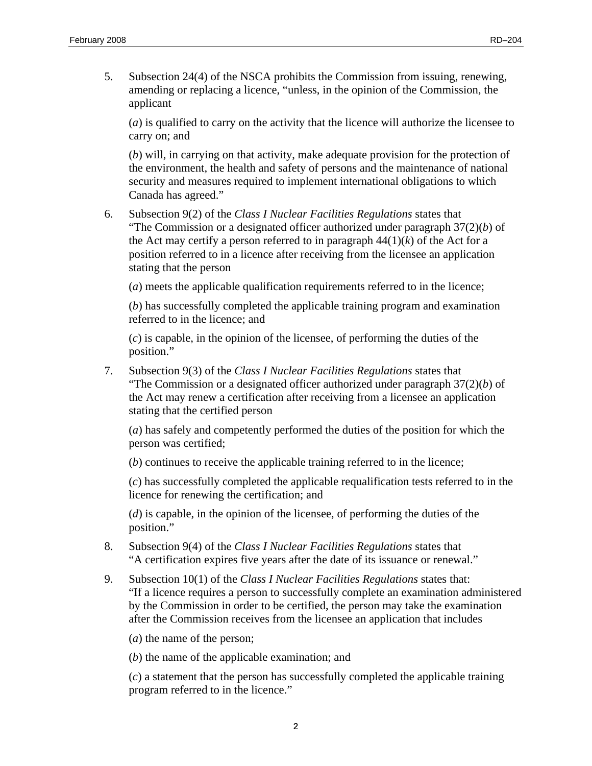5. Subsection 24(4) of the NSCA prohibits the Commission from issuing, renewing, amending or replacing a licence, "unless, in the opinion of the Commission, the applicant

(*a*) is qualified to carry on the activity that the licence will authorize the licensee to carry on; and

(*b*) will, in carrying on that activity, make adequate provision for the protection of the environment, the health and safety of persons and the maintenance of national security and measures required to implement international obligations to which Canada has agreed."

6. Subsection 9(2) of the *Class I Nuclear Facilities Regulations* states that "The Commission or a designated officer authorized under paragraph 37(2)(*b*) of the Act may certify a person referred to in paragraph  $44(1)(k)$  of the Act for a position referred to in a licence after receiving from the licensee an application stating that the person

(*a*) meets the applicable qualification requirements referred to in the licence;

(*b*) has successfully completed the applicable training program and examination referred to in the licence; and

(*c*) is capable, in the opinion of the licensee, of performing the duties of the position."

7. Subsection 9(3) of the *Class I Nuclear Facilities Regulations* states that "The Commission or a designated officer authorized under paragraph 37(2)(*b*) of the Act may renew a certification after receiving from a licensee an application stating that the certified person

(*a*) has safely and competently performed the duties of the position for which the person was certified;

(*b*) continues to receive the applicable training referred to in the licence;

(*c*) has successfully completed the applicable requalification tests referred to in the licence for renewing the certification; and

(*d*) is capable, in the opinion of the licensee, of performing the duties of the position."

- 8. Subsection 9(4) of the *Class I Nuclear Facilities Regulations* states that "A certification expires five years after the date of its issuance or renewal."
- 9. Subsection 10(1) of the *Class I Nuclear Facilities Regulations* states that: "If a licence requires a person to successfully complete an examination administered by the Commission in order to be certified, the person may take the examination after the Commission receives from the licensee an application that includes

(*a*) the name of the person;

(*b*) the name of the applicable examination; and

(*c*) a statement that the person has successfully completed the applicable training program referred to in the licence."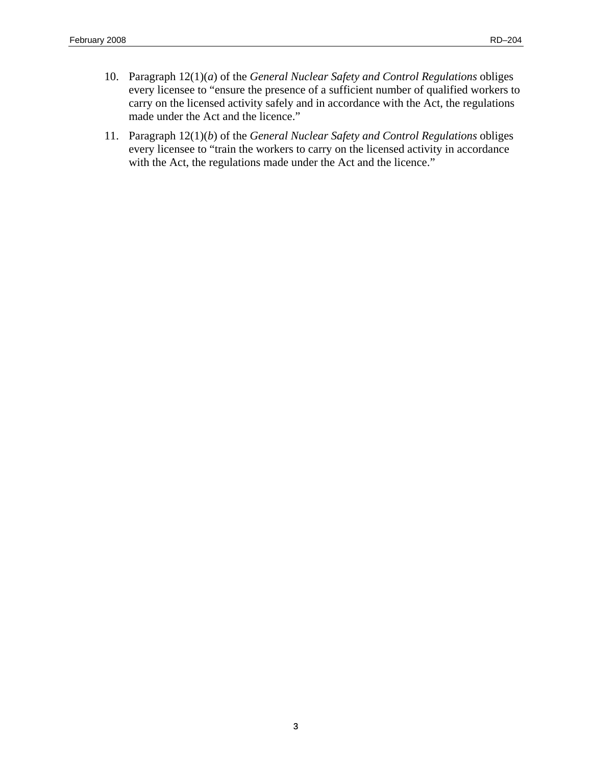- 10. Paragraph 12(1)(*a*) of the *General Nuclear Safety and Control Regulations* obliges every licensee to "ensure the presence of a sufficient number of qualified workers to carry on the licensed activity safely and in accordance with the Act, the regulations made under the Act and the licence."
- 11. Paragraph 12(1)(*b*) of the *General Nuclear Safety and Control Regulations* obliges every licensee to "train the workers to carry on the licensed activity in accordance with the Act, the regulations made under the Act and the licence."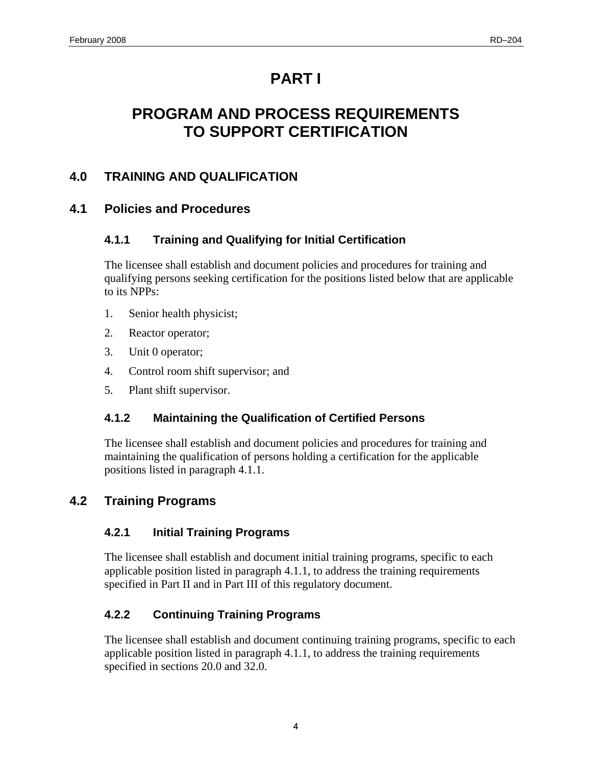# **PART I**

# <span id="page-15-0"></span>**PROGRAM AND PROCESS REQUIREMENTS TO SUPPORT CERTIFICATION**

# **4.0 TRAINING AND QUALIFICATION**

# **4.1 Policies and Procedures**

# **4.1.1 Training and Qualifying for Initial Certification**

The licensee shall establish and document policies and procedures for training and qualifying persons seeking certification for the positions listed below that are applicable to its NPPs:

- 1. Senior health physicist;
- 2. Reactor operator;
- 3. Unit 0 operator;
- 4. Control room shift supervisor; and
- 5. Plant shift supervisor.

# **4.1.2 Maintaining the Qualification of Certified Persons**

The licensee shall establish and document policies and procedures for training and maintaining the qualification of persons holding a certification for the applicable positions listed in paragraph 4.1.1.

# **4.2 Training Programs**

# **4.2.1 Initial Training Programs**

The licensee shall establish and document initial training programs, specific to each applicable position listed in paragraph 4.1.1, to address the training requirements specified in Part II and in Part III of this regulatory document.

# **4.2.2 Continuing Training Programs**

The licensee shall establish and document continuing training programs, specific to each applicable position listed in paragraph 4.1.1, to address the training requirements specified in sections 20.0 and 32.0.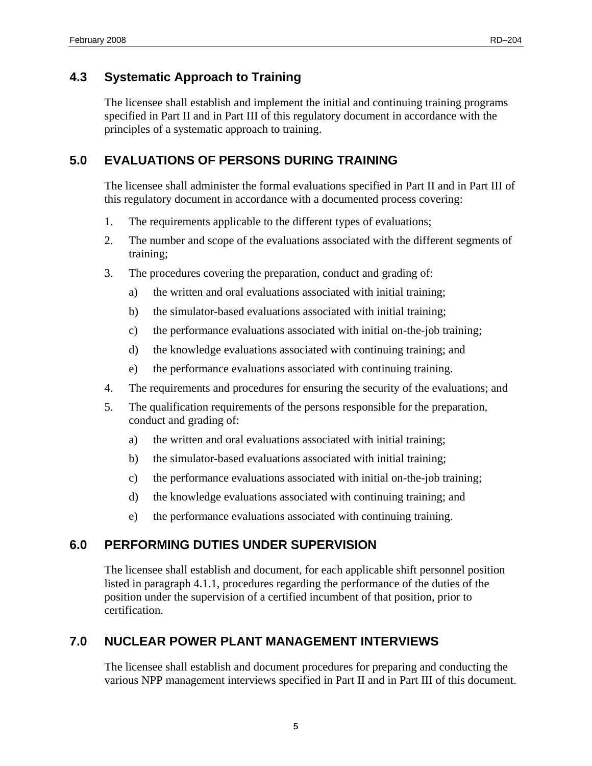# <span id="page-16-0"></span>**4.3 Systematic Approach to Training**

The licensee shall establish and implement the initial and continuing training programs specified in Part II and in Part III of this regulatory document in accordance with the principles of a systematic approach to training.

# **5.0 EVALUATIONS OF PERSONS DURING TRAINING**

The licensee shall administer the formal evaluations specified in Part II and in Part III of this regulatory document in accordance with a documented process covering:

- 1. The requirements applicable to the different types of evaluations;
- 2. The number and scope of the evaluations associated with the different segments of training;
- 3. The procedures covering the preparation, conduct and grading of:
	- a) the written and oral evaluations associated with initial training;
	- b) the simulator-based evaluations associated with initial training;
	- c) the performance evaluations associated with initial on-the-job training;
	- d) the knowledge evaluations associated with continuing training; and
	- e) the performance evaluations associated with continuing training.
- 4. The requirements and procedures for ensuring the security of the evaluations; and
- 5. The qualification requirements of the persons responsible for the preparation, conduct and grading of:
	- a) the written and oral evaluations associated with initial training;
	- b) the simulator-based evaluations associated with initial training;
	- c) the performance evaluations associated with initial on-the-job training;
	- d) the knowledge evaluations associated with continuing training; and
	- e) the performance evaluations associated with continuing training.

# **6.0 PERFORMING DUTIES UNDER SUPERVISION**

The licensee shall establish and document, for each applicable shift personnel position listed in paragraph 4.1.1, procedures regarding the performance of the duties of the position under the supervision of a certified incumbent of that position, prior to certification.

# **7.0 NUCLEAR POWER PLANT MANAGEMENT INTERVIEWS**

The licensee shall establish and document procedures for preparing and conducting the various NPP management interviews specified in Part II and in Part III of this document.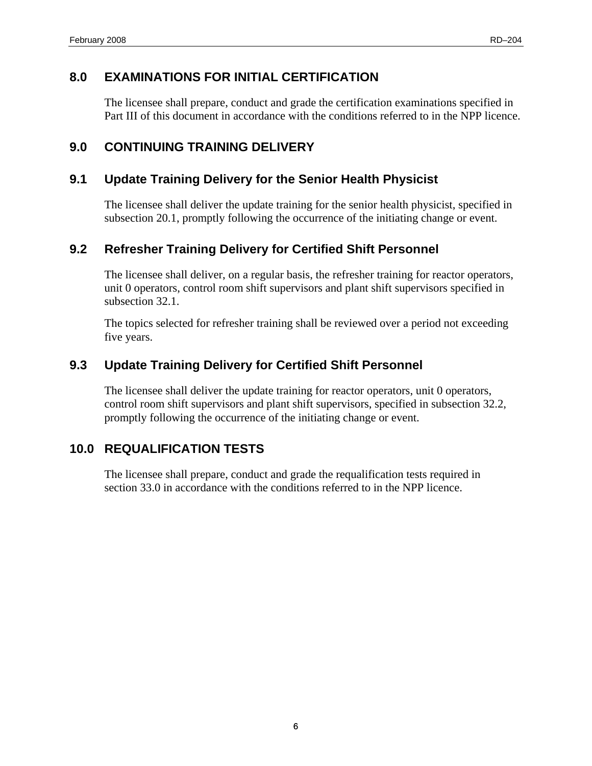# <span id="page-17-0"></span>**8.0 EXAMINATIONS FOR INITIAL CERTIFICATION**

The licensee shall prepare, conduct and grade the certification examinations specified in Part III of this document in accordance with the conditions referred to in the NPP licence.

# **9.0 CONTINUING TRAINING DELIVERY**

# **9.1 Update Training Delivery for the Senior Health Physicist**

The licensee shall deliver the update training for the senior health physicist, specified in subsection 20.1, promptly following the occurrence of the initiating change or event.

# **9.2 Refresher Training Delivery for Certified Shift Personnel**

The licensee shall deliver, on a regular basis, the refresher training for reactor operators, unit 0 operators, control room shift supervisors and plant shift supervisors specified in subsection 32.1.

The topics selected for refresher training shall be reviewed over a period not exceeding five years.

# **9.3 Update Training Delivery for Certified Shift Personnel**

The licensee shall deliver the update training for reactor operators, unit 0 operators, control room shift supervisors and plant shift supervisors, specified in subsection 32.2, promptly following the occurrence of the initiating change or event.

# **10.0 REQUALIFICATION TESTS**

The licensee shall prepare, conduct and grade the requalification tests required in section 33.0 in accordance with the conditions referred to in the NPP licence.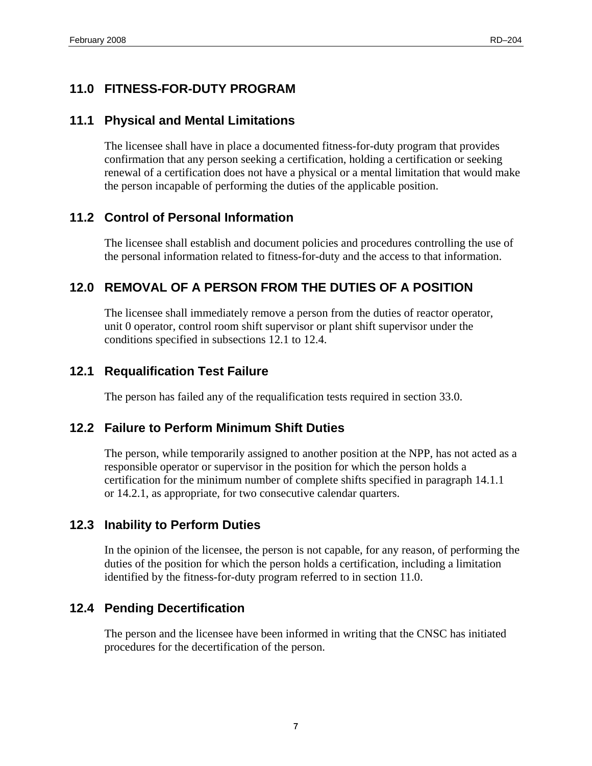# <span id="page-18-0"></span>**11.0 FITNESS-FOR-DUTY PROGRAM**

### **11.1 Physical and Mental Limitations**

The licensee shall have in place a documented fitness-for-duty program that provides confirmation that any person seeking a certification, holding a certification or seeking renewal of a certification does not have a physical or a mental limitation that would make the person incapable of performing the duties of the applicable position.

# **11.2 Control of Personal Information**

The licensee shall establish and document policies and procedures controlling the use of the personal information related to fitness-for-duty and the access to that information.

# **12.0 REMOVAL OF A PERSON FROM THE DUTIES OF A POSITION**

The licensee shall immediately remove a person from the duties of reactor operator, unit 0 operator, control room shift supervisor or plant shift supervisor under the conditions specified in subsections 12.1 to 12.4.

### **12.1 Requalification Test Failure**

The person has failed any of the requalification tests required in section 33.0.

### **12.2 Failure to Perform Minimum Shift Duties**

The person, while temporarily assigned to another position at the NPP, has not acted as a responsible operator or supervisor in the position for which the person holds a certification for the minimum number of complete shifts specified in paragraph 14.1.1 or 14.2.1, as appropriate, for two consecutive calendar quarters.

### **12.3 Inability to Perform Duties**

In the opinion of the licensee, the person is not capable, for any reason, of performing the duties of the position for which the person holds a certification, including a limitation identified by the fitness-for-duty program referred to in section 11.0.

### **12.4 Pending Decertification**

The person and the licensee have been informed in writing that the CNSC has initiated procedures for the decertification of the person.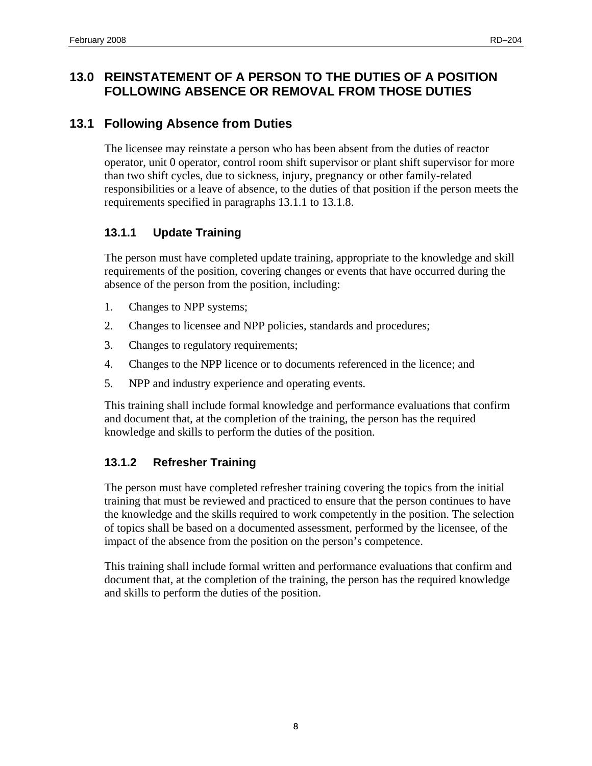# <span id="page-19-0"></span>**13.0 REINSTATEMENT OF A PERSON TO THE DUTIES OF A POSITION FOLLOWING ABSENCE OR REMOVAL FROM THOSE DUTIES**

# **13.1 Following Absence from Duties**

The licensee may reinstate a person who has been absent from the duties of reactor operator, unit 0 operator, control room shift supervisor or plant shift supervisor for more than two shift cycles, due to sickness, injury, pregnancy or other family-related responsibilities or a leave of absence, to the duties of that position if the person meets the requirements specified in paragraphs 13.1.1 to 13.1.8.

### **13.1.1 Update Training**

The person must have completed update training, appropriate to the knowledge and skill requirements of the position, covering changes or events that have occurred during the absence of the person from the position, including:

- 1. Changes to NPP systems;
- 2. Changes to licensee and NPP policies, standards and procedures;
- 3. Changes to regulatory requirements;
- 4. Changes to the NPP licence or to documents referenced in the licence; and
- 5. NPP and industry experience and operating events.

This training shall include formal knowledge and performance evaluations that confirm and document that, at the completion of the training, the person has the required knowledge and skills to perform the duties of the position.

### **13.1.2 Refresher Training**

The person must have completed refresher training covering the topics from the initial training that must be reviewed and practiced to ensure that the person continues to have the knowledge and the skills required to work competently in the position. The selection of topics shall be based on a documented assessment, performed by the licensee, of the impact of the absence from the position on the person's competence.

This training shall include formal written and performance evaluations that confirm and document that, at the completion of the training, the person has the required knowledge and skills to perform the duties of the position.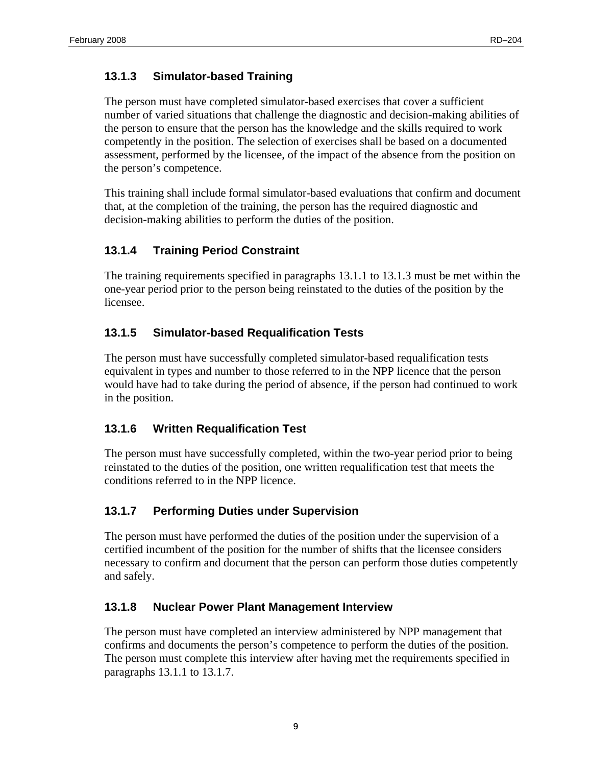## <span id="page-20-0"></span>**13.1.3 Simulator-based Training**

The person must have completed simulator-based exercises that cover a sufficient number of varied situations that challenge the diagnostic and decision-making abilities of the person to ensure that the person has the knowledge and the skills required to work competently in the position. The selection of exercises shall be based on a documented assessment, performed by the licensee, of the impact of the absence from the position on the person's competence.

This training shall include formal simulator-based evaluations that confirm and document that, at the completion of the training, the person has the required diagnostic and decision-making abilities to perform the duties of the position.

## **13.1.4 Training Period Constraint**

The training requirements specified in paragraphs 13.1.1 to 13.1.3 must be met within the one-year period prior to the person being reinstated to the duties of the position by the licensee.

## **13.1.5 Simulator-based Requalification Tests**

The person must have successfully completed simulator-based requalification tests equivalent in types and number to those referred to in the NPP licence that the person would have had to take during the period of absence, if the person had continued to work in the position.

### **13.1.6 Written Requalification Test**

The person must have successfully completed, within the two-year period prior to being reinstated to the duties of the position, one written requalification test that meets the conditions referred to in the NPP licence.

### **13.1.7 Performing Duties under Supervision**

The person must have performed the duties of the position under the supervision of a certified incumbent of the position for the number of shifts that the licensee considers necessary to confirm and document that the person can perform those duties competently and safely.

### **13.1.8 Nuclear Power Plant Management Interview**

The person must have completed an interview administered by NPP management that confirms and documents the person's competence to perform the duties of the position. The person must complete this interview after having met the requirements specified in paragraphs 13.1.1 to 13.1.7.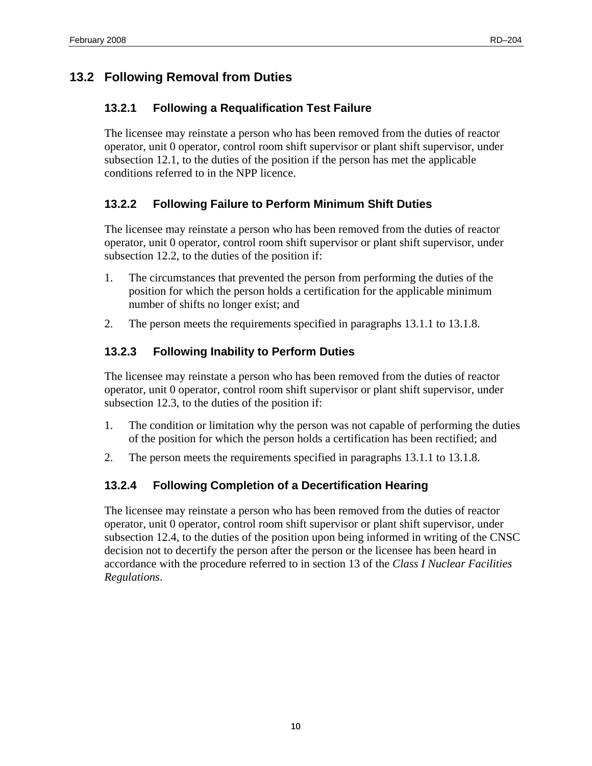# <span id="page-21-0"></span>**13.2 Following Removal from Duties**

## **13.2.1 Following a Requalification Test Failure**

The licensee may reinstate a person who has been removed from the duties of reactor operator, unit 0 operator, control room shift supervisor or plant shift supervisor, under subsection 12.1, to the duties of the position if the person has met the applicable conditions referred to in the NPP licence.

# **13.2.2 Following Failure to Perform Minimum Shift Duties**

The licensee may reinstate a person who has been removed from the duties of reactor operator, unit 0 operator, control room shift supervisor or plant shift supervisor, under subsection 12.2, to the duties of the position if:

- 1. The circumstances that prevented the person from performing the duties of the position for which the person holds a certification for the applicable minimum number of shifts no longer exist; and
- 2. The person meets the requirements specified in paragraphs 13.1.1 to 13.1.8.

# **13.2.3 Following Inability to Perform Duties**

The licensee may reinstate a person who has been removed from the duties of reactor operator, unit 0 operator, control room shift supervisor or plant shift supervisor, under subsection 12.3, to the duties of the position if:

- 1. The condition or limitation why the person was not capable of performing the duties of the position for which the person holds a certification has been rectified; and
- 2. The person meets the requirements specified in paragraphs 13.1.1 to 13.1.8.

# **13.2.4 Following Completion of a Decertification Hearing**

The licensee may reinstate a person who has been removed from the duties of reactor operator, unit 0 operator, control room shift supervisor or plant shift supervisor, under subsection 12.4, to the duties of the position upon being informed in writing of the CNSC decision not to decertify the person after the person or the licensee has been heard in accordance with the procedure referred to in section 13 of the *Class I Nuclear Facilities Regulations*.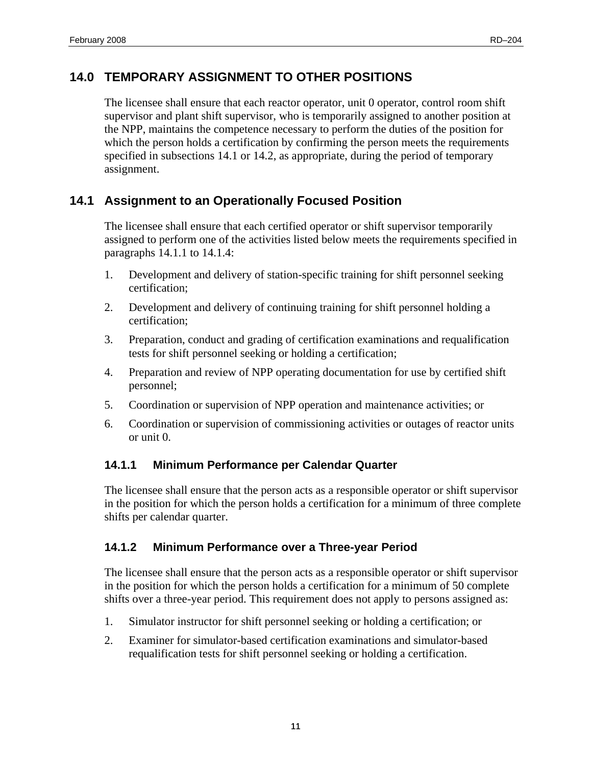# <span id="page-22-0"></span>**14.0 TEMPORARY ASSIGNMENT TO OTHER POSITIONS**

The licensee shall ensure that each reactor operator, unit 0 operator, control room shift supervisor and plant shift supervisor, who is temporarily assigned to another position at the NPP, maintains the competence necessary to perform the duties of the position for which the person holds a certification by confirming the person meets the requirements specified in subsections 14.1 or 14.2, as appropriate, during the period of temporary assignment.

# **14.1 Assignment to an Operationally Focused Position**

The licensee shall ensure that each certified operator or shift supervisor temporarily assigned to perform one of the activities listed below meets the requirements specified in paragraphs 14.1.1 to 14.1.4:

- 1. Development and delivery of station-specific training for shift personnel seeking certification;
- 2. Development and delivery of continuing training for shift personnel holding a certification;
- 3. Preparation, conduct and grading of certification examinations and requalification tests for shift personnel seeking or holding a certification;
- 4. Preparation and review of NPP operating documentation for use by certified shift personnel;
- 5. Coordination or supervision of NPP operation and maintenance activities; or
- 6. Coordination or supervision of commissioning activities or outages of reactor units or unit 0.

### **14.1.1 Minimum Performance per Calendar Quarter**

The licensee shall ensure that the person acts as a responsible operator or shift supervisor in the position for which the person holds a certification for a minimum of three complete shifts per calendar quarter.

### **14.1.2 Minimum Performance over a Three-year Period**

The licensee shall ensure that the person acts as a responsible operator or shift supervisor in the position for which the person holds a certification for a minimum of 50 complete shifts over a three-year period. This requirement does not apply to persons assigned as:

- 1. Simulator instructor for shift personnel seeking or holding a certification; or
- 2. Examiner for simulator-based certification examinations and simulator-based requalification tests for shift personnel seeking or holding a certification.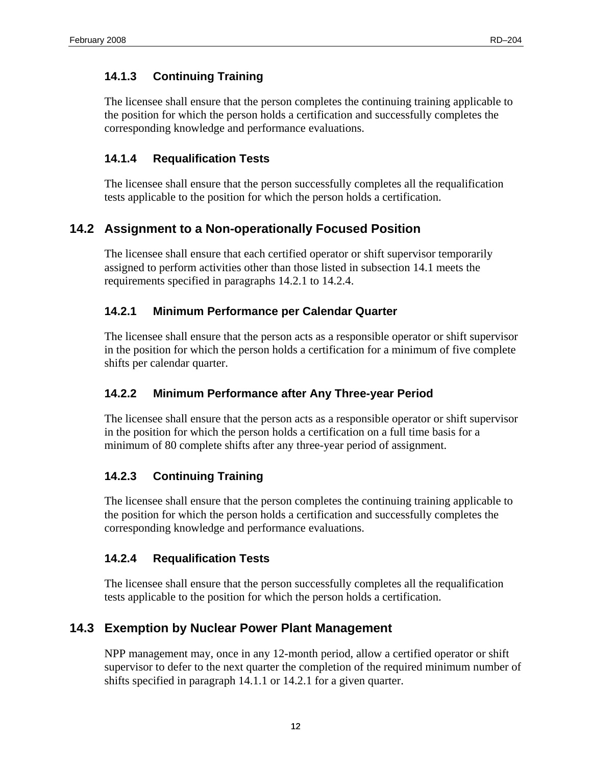### <span id="page-23-0"></span>**14.1.3 Continuing Training**

The licensee shall ensure that the person completes the continuing training applicable to the position for which the person holds a certification and successfully completes the corresponding knowledge and performance evaluations.

### **14.1.4 Requalification Tests**

The licensee shall ensure that the person successfully completes all the requalification tests applicable to the position for which the person holds a certification.

# **14.2 Assignment to a Non-operationally Focused Position**

The licensee shall ensure that each certified operator or shift supervisor temporarily assigned to perform activities other than those listed in subsection 14.1 meets the requirements specified in paragraphs 14.2.1 to 14.2.4.

### **14.2.1 Minimum Performance per Calendar Quarter**

The licensee shall ensure that the person acts as a responsible operator or shift supervisor in the position for which the person holds a certification for a minimum of five complete shifts per calendar quarter.

### **14.2.2 Minimum Performance after Any Three-year Period**

The licensee shall ensure that the person acts as a responsible operator or shift supervisor in the position for which the person holds a certification on a full time basis for a minimum of 80 complete shifts after any three-year period of assignment.

### **14.2.3 Continuing Training**

The licensee shall ensure that the person completes the continuing training applicable to the position for which the person holds a certification and successfully completes the corresponding knowledge and performance evaluations.

### **14.2.4 Requalification Tests**

The licensee shall ensure that the person successfully completes all the requalification tests applicable to the position for which the person holds a certification.

# **14.3 Exemption by Nuclear Power Plant Management**

NPP management may, once in any 12-month period, allow a certified operator or shift supervisor to defer to the next quarter the completion of the required minimum number of shifts specified in paragraph 14.1.1 or 14.2.1 for a given quarter.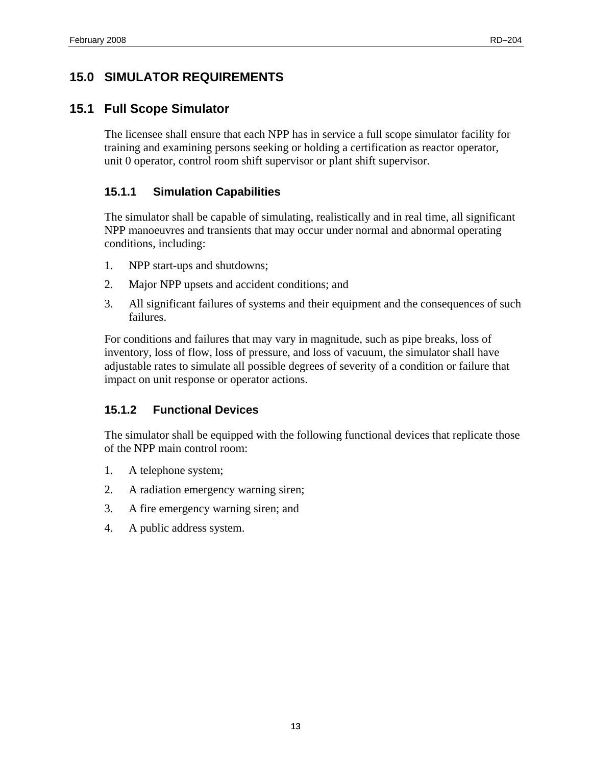# <span id="page-24-0"></span>**15.0 SIMULATOR REQUIREMENTS**

## **15.1 Full Scope Simulator**

The licensee shall ensure that each NPP has in service a full scope simulator facility for training and examining persons seeking or holding a certification as reactor operator, unit 0 operator, control room shift supervisor or plant shift supervisor.

## **15.1.1 Simulation Capabilities**

The simulator shall be capable of simulating, realistically and in real time, all significant NPP manoeuvres and transients that may occur under normal and abnormal operating conditions, including:

- 1. NPP start-ups and shutdowns;
- 2. Major NPP upsets and accident conditions; and
- 3. All significant failures of systems and their equipment and the consequences of such failures.

For conditions and failures that may vary in magnitude, such as pipe breaks, loss of inventory, loss of flow, loss of pressure, and loss of vacuum, the simulator shall have adjustable rates to simulate all possible degrees of severity of a condition or failure that impact on unit response or operator actions.

# **15.1.2 Functional Devices**

The simulator shall be equipped with the following functional devices that replicate those of the NPP main control room:

- 1. A telephone system;
- 2. A radiation emergency warning siren;
- 3. A fire emergency warning siren; and
- 4. A public address system.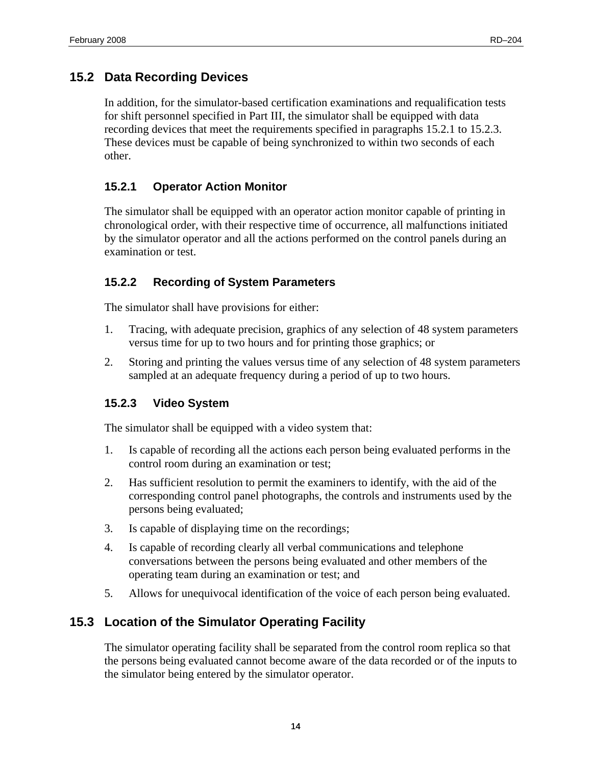## <span id="page-25-0"></span>**15.2 Data Recording Devices**

In addition, for the simulator-based certification examinations and requalification tests for shift personnel specified in Part III, the simulator shall be equipped with data recording devices that meet the requirements specified in paragraphs 15.2.1 to 15.2.3. These devices must be capable of being synchronized to within two seconds of each other.

#### **15.2.1 Operator Action Monitor**

The simulator shall be equipped with an operator action monitor capable of printing in chronological order, with their respective time of occurrence, all malfunctions initiated by the simulator operator and all the actions performed on the control panels during an examination or test.

#### **15.2.2 Recording of System Parameters**

The simulator shall have provisions for either:

- 1. Tracing, with adequate precision, graphics of any selection of 48 system parameters versus time for up to two hours and for printing those graphics; or
- 2. Storing and printing the values versus time of any selection of 48 system parameters sampled at an adequate frequency during a period of up to two hours.

#### **15.2.3 Video System**

The simulator shall be equipped with a video system that:

- 1. Is capable of recording all the actions each person being evaluated performs in the control room during an examination or test;
- 2. Has sufficient resolution to permit the examiners to identify, with the aid of the corresponding control panel photographs, the controls and instruments used by the persons being evaluated;
- 3. Is capable of displaying time on the recordings;
- 4. Is capable of recording clearly all verbal communications and telephone conversations between the persons being evaluated and other members of the operating team during an examination or test; and
- 5. Allows for unequivocal identification of the voice of each person being evaluated.

### **15.3 Location of the Simulator Operating Facility**

The simulator operating facility shall be separated from the control room replica so that the persons being evaluated cannot become aware of the data recorded or of the inputs to the simulator being entered by the simulator operator.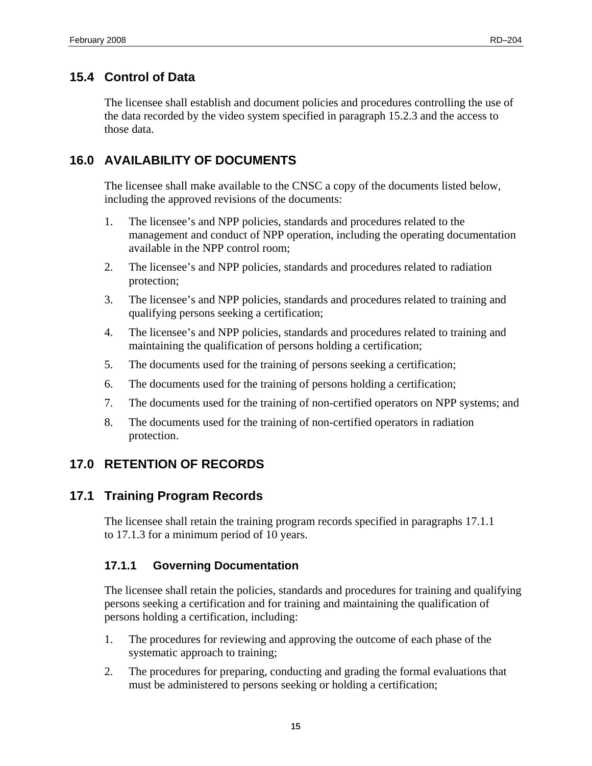# <span id="page-26-0"></span>**15.4 Control of Data**

The licensee shall establish and document policies and procedures controlling the use of the data recorded by the video system specified in paragraph 15.2.3 and the access to those data.

# **16.0 AVAILABILITY OF DOCUMENTS**

The licensee shall make available to the CNSC a copy of the documents listed below, including the approved revisions of the documents:

- 1. The licensee's and NPP policies, standards and procedures related to the management and conduct of NPP operation, including the operating documentation available in the NPP control room;
- 2. The licensee's and NPP policies, standards and procedures related to radiation protection;
- 3. The licensee's and NPP policies, standards and procedures related to training and qualifying persons seeking a certification;
- 4. The licensee's and NPP policies, standards and procedures related to training and maintaining the qualification of persons holding a certification;
- 5. The documents used for the training of persons seeking a certification;
- 6. The documents used for the training of persons holding a certification;
- 7. The documents used for the training of non-certified operators on NPP systems; and
- 8. The documents used for the training of non-certified operators in radiation protection.

# **17.0 RETENTION OF RECORDS**

### **17.1 Training Program Records**

The licensee shall retain the training program records specified in paragraphs 17.1.1 to 17.1.3 for a minimum period of 10 years.

### **17.1.1 Governing Documentation**

The licensee shall retain the policies, standards and procedures for training and qualifying persons seeking a certification and for training and maintaining the qualification of persons holding a certification, including:

- 1. The procedures for reviewing and approving the outcome of each phase of the systematic approach to training;
- 2. The procedures for preparing, conducting and grading the formal evaluations that must be administered to persons seeking or holding a certification;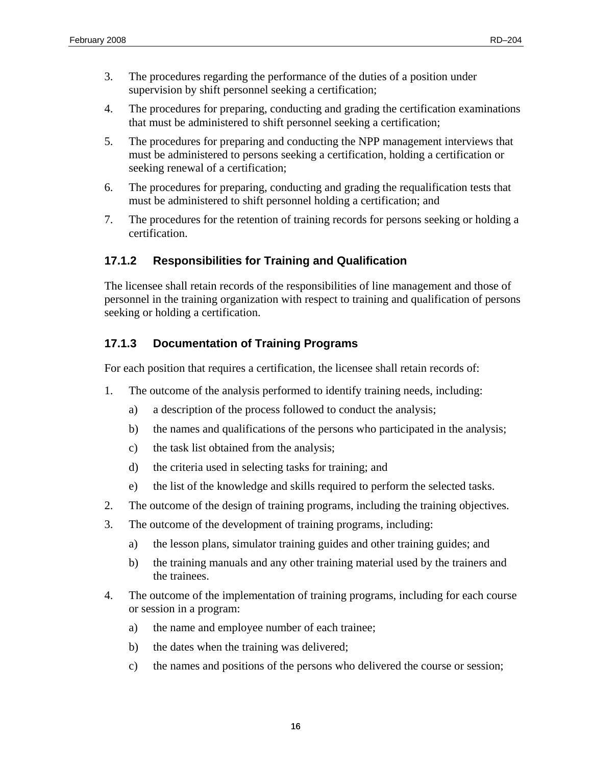- <span id="page-27-0"></span>3. The procedures regarding the performance of the duties of a position under supervision by shift personnel seeking a certification;
- 4. The procedures for preparing, conducting and grading the certification examinations that must be administered to shift personnel seeking a certification;
- 5. The procedures for preparing and conducting the NPP management interviews that must be administered to persons seeking a certification, holding a certification or seeking renewal of a certification;
- 6. The procedures for preparing, conducting and grading the requalification tests that must be administered to shift personnel holding a certification; and
- 7. The procedures for the retention of training records for persons seeking or holding a certification.

## **17.1.2 Responsibilities for Training and Qualification**

The licensee shall retain records of the responsibilities of line management and those of personnel in the training organization with respect to training and qualification of persons seeking or holding a certification.

## **17.1.3 Documentation of Training Programs**

For each position that requires a certification, the licensee shall retain records of:

- 1. The outcome of the analysis performed to identify training needs, including:
	- a) a description of the process followed to conduct the analysis;
	- b) the names and qualifications of the persons who participated in the analysis;
	- c) the task list obtained from the analysis;
	- d) the criteria used in selecting tasks for training; and
	- e) the list of the knowledge and skills required to perform the selected tasks.
- 2. The outcome of the design of training programs, including the training objectives.
- 3. The outcome of the development of training programs, including:
	- a) the lesson plans, simulator training guides and other training guides; and
	- b) the training manuals and any other training material used by the trainers and the trainees.
- 4. The outcome of the implementation of training programs, including for each course or session in a program:
	- a) the name and employee number of each trainee;
	- b) the dates when the training was delivered;
	- c) the names and positions of the persons who delivered the course or session;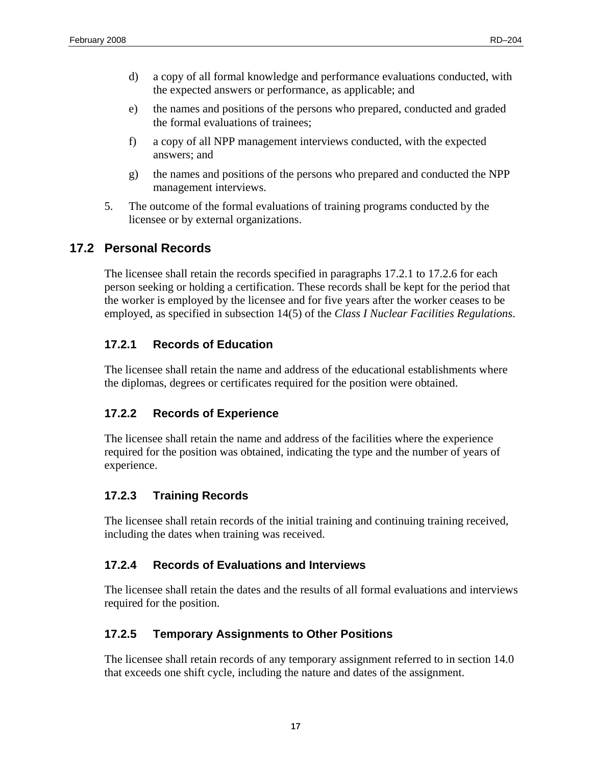- <span id="page-28-0"></span>d) a copy of all formal knowledge and performance evaluations conducted, with the expected answers or performance, as applicable; and
- e) the names and positions of the persons who prepared, conducted and graded the formal evaluations of trainees;
- f) a copy of all NPP management interviews conducted, with the expected answers; and
- g) the names and positions of the persons who prepared and conducted the NPP management interviews.
- 5. The outcome of the formal evaluations of training programs conducted by the licensee or by external organizations.

# **17.2 Personal Records**

The licensee shall retain the records specified in paragraphs 17.2.1 to 17.2.6 for each person seeking or holding a certification. These records shall be kept for the period that the worker is employed by the licensee and for five years after the worker ceases to be employed, as specified in subsection 14(5) of the *Class I Nuclear Facilities Regulations*.

### **17.2.1 Records of Education**

The licensee shall retain the name and address of the educational establishments where the diplomas, degrees or certificates required for the position were obtained.

### **17.2.2 Records of Experience**

The licensee shall retain the name and address of the facilities where the experience required for the position was obtained, indicating the type and the number of years of experience.

### **17.2.3 Training Records**

The licensee shall retain records of the initial training and continuing training received, including the dates when training was received.

### **17.2.4 Records of Evaluations and Interviews**

The licensee shall retain the dates and the results of all formal evaluations and interviews required for the position.

### **17.2.5 Temporary Assignments to Other Positions**

The licensee shall retain records of any temporary assignment referred to in section 14.0 that exceeds one shift cycle, including the nature and dates of the assignment.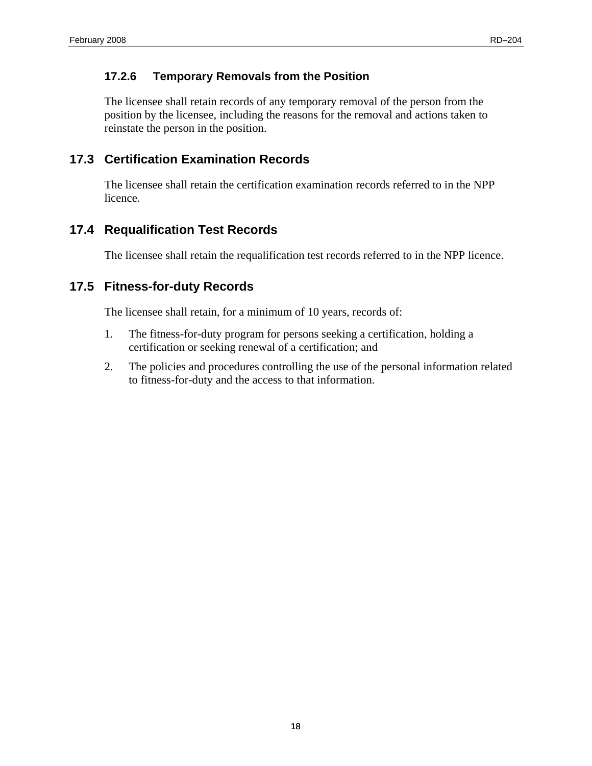### <span id="page-29-0"></span>**17.2.6 Temporary Removals from the Position**

The licensee shall retain records of any temporary removal of the person from the position by the licensee, including the reasons for the removal and actions taken to reinstate the person in the position.

# **17.3 Certification Examination Records**

The licensee shall retain the certification examination records referred to in the NPP licence.

# **17.4 Requalification Test Records**

The licensee shall retain the requalification test records referred to in the NPP licence.

# **17.5 Fitness-for-duty Records**

The licensee shall retain, for a minimum of 10 years, records of:

- 1. The fitness-for-duty program for persons seeking a certification, holding a certification or seeking renewal of a certification; and
- 2. The policies and procedures controlling the use of the personal information related to fitness-for-duty and the access to that information.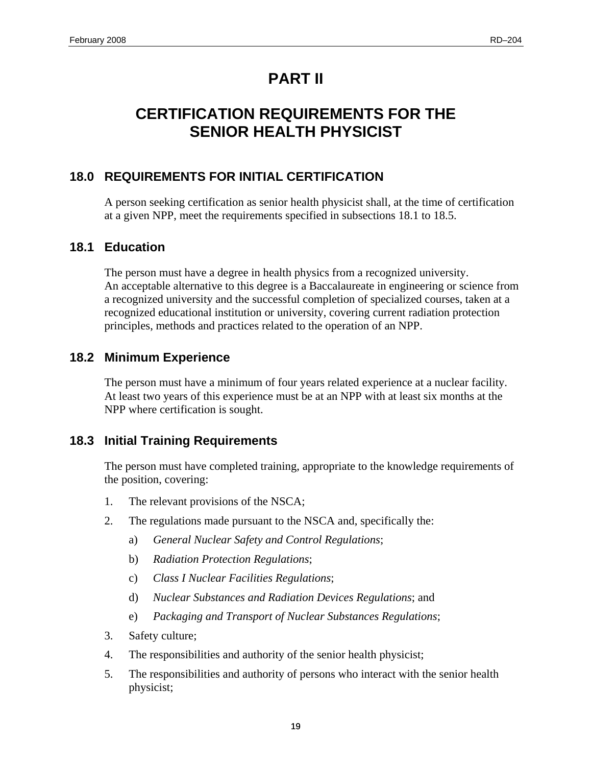# **PART II**

# <span id="page-30-0"></span>**CERTIFICATION REQUIREMENTS FOR THE SENIOR HEALTH PHYSICIST**

# **18.0 REQUIREMENTS FOR INITIAL CERTIFICATION**

A person seeking certification as senior health physicist shall, at the time of certification at a given NPP, meet the requirements specified in subsections 18.1 to 18.5.

# **18.1 Education**

The person must have a degree in health physics from a recognized university. An acceptable alternative to this degree is a Baccalaureate in engineering or science from a recognized university and the successful completion of specialized courses, taken at a recognized educational institution or university, covering current radiation protection principles, methods and practices related to the operation of an NPP.

# **18.2 Minimum Experience**

The person must have a minimum of four years related experience at a nuclear facility. At least two years of this experience must be at an NPP with at least six months at the NPP where certification is sought.

# **18.3 Initial Training Requirements**

The person must have completed training, appropriate to the knowledge requirements of the position, covering:

- 1. The relevant provisions of the NSCA;
- 2. The regulations made pursuant to the NSCA and, specifically the:
	- a) *General Nuclear Safety and Control Regulations*;
	- b) *Radiation Protection Regulations*;
	- c) *Class I Nuclear Facilities Regulations*;
	- d) *Nuclear Substances and Radiation Devices Regulations*; and
	- e) *Packaging and Transport of Nuclear Substances Regulations*;
- 3. Safety culture;
- 4. The responsibilities and authority of the senior health physicist;
- 5. The responsibilities and authority of persons who interact with the senior health physicist;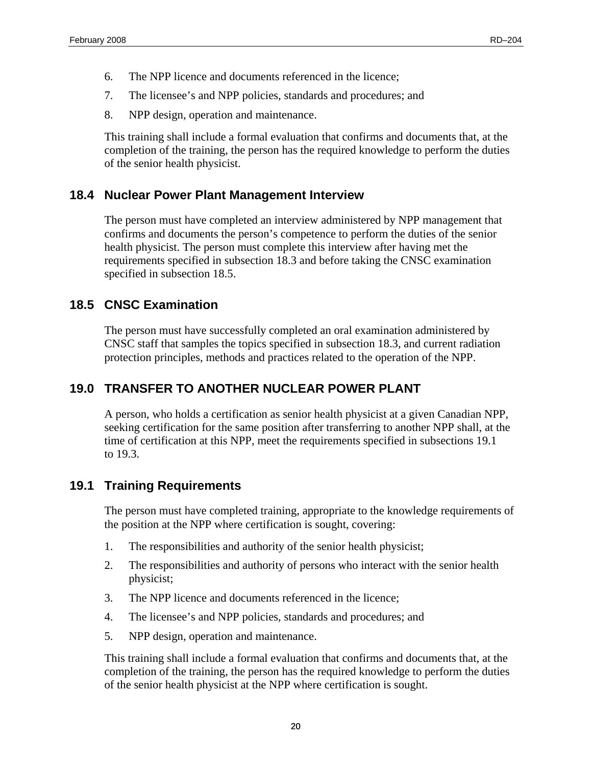- <span id="page-31-0"></span>6. The NPP licence and documents referenced in the licence;
- 7. The licensee's and NPP policies, standards and procedures; and
- 8. NPP design, operation and maintenance.

This training shall include a formal evaluation that confirms and documents that, at the completion of the training, the person has the required knowledge to perform the duties of the senior health physicist.

## **18.4 Nuclear Power Plant Management Interview**

The person must have completed an interview administered by NPP management that confirms and documents the person's competence to perform the duties of the senior health physicist. The person must complete this interview after having met the requirements specified in subsection 18.3 and before taking the CNSC examination specified in subsection 18.5.

## **18.5 CNSC Examination**

The person must have successfully completed an oral examination administered by CNSC staff that samples the topics specified in subsection 18.3, and current radiation protection principles, methods and practices related to the operation of the NPP.

# **19.0 TRANSFER TO ANOTHER NUCLEAR POWER PLANT**

A person, who holds a certification as senior health physicist at a given Canadian NPP, seeking certification for the same position after transferring to another NPP shall, at the time of certification at this NPP, meet the requirements specified in subsections 19.1 to 19.3.

# **19.1 Training Requirements**

The person must have completed training, appropriate to the knowledge requirements of the position at the NPP where certification is sought, covering:

- 1. The responsibilities and authority of the senior health physicist;
- 2. The responsibilities and authority of persons who interact with the senior health physicist;
- 3. The NPP licence and documents referenced in the licence;
- 4. The licensee's and NPP policies, standards and procedures; and
- 5. NPP design, operation and maintenance.

This training shall include a formal evaluation that confirms and documents that, at the completion of the training, the person has the required knowledge to perform the duties of the senior health physicist at the NPP where certification is sought.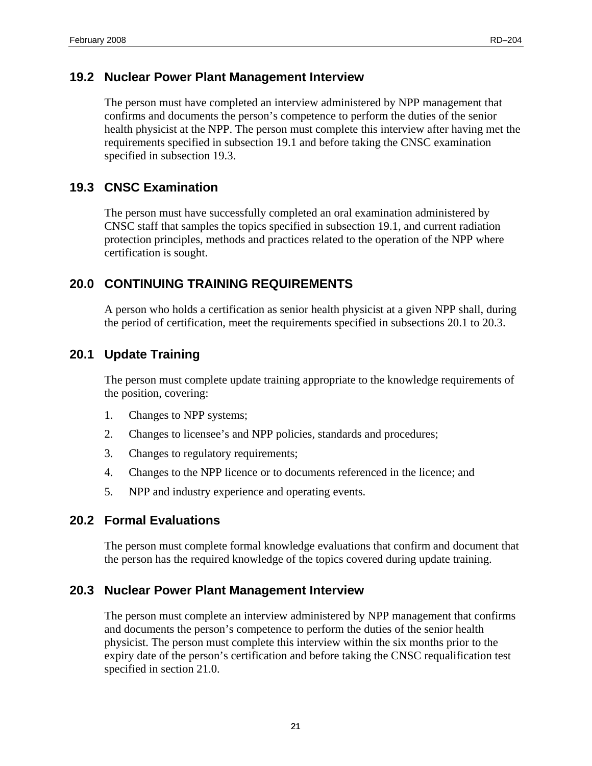#### <span id="page-32-0"></span>**19.2 Nuclear Power Plant Management Interview**

The person must have completed an interview administered by NPP management that confirms and documents the person's competence to perform the duties of the senior health physicist at the NPP. The person must complete this interview after having met the requirements specified in subsection 19.1 and before taking the CNSC examination specified in subsection 19.3.

#### **19.3 CNSC Examination**

The person must have successfully completed an oral examination administered by CNSC staff that samples the topics specified in subsection 19.1, and current radiation protection principles, methods and practices related to the operation of the NPP where certification is sought.

### **20.0 CONTINUING TRAINING REQUIREMENTS**

A person who holds a certification as senior health physicist at a given NPP shall, during the period of certification, meet the requirements specified in subsections 20.1 to 20.3.

### **20.1 Update Training**

The person must complete update training appropriate to the knowledge requirements of the position, covering:

- 1. Changes to NPP systems;
- 2. Changes to licensee's and NPP policies, standards and procedures;
- 3. Changes to regulatory requirements;
- 4. Changes to the NPP licence or to documents referenced in the licence; and
- 5. NPP and industry experience and operating events.

#### **20.2 Formal Evaluations**

The person must complete formal knowledge evaluations that confirm and document that the person has the required knowledge of the topics covered during update training.

#### **20.3 Nuclear Power Plant Management Interview**

The person must complete an interview administered by NPP management that confirms and documents the person's competence to perform the duties of the senior health physicist. The person must complete this interview within the six months prior to the expiry date of the person's certification and before taking the CNSC requalification test specified in section 21.0.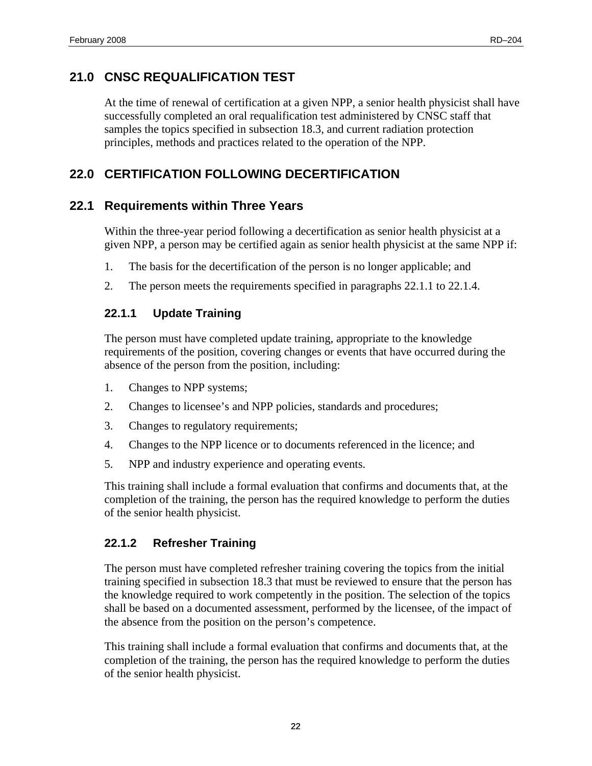# <span id="page-33-0"></span>**21.0 CNSC REQUALIFICATION TEST**

At the time of renewal of certification at a given NPP, a senior health physicist shall have successfully completed an oral requalification test administered by CNSC staff that samples the topics specified in subsection 18.3, and current radiation protection principles, methods and practices related to the operation of the NPP.

# **22.0 CERTIFICATION FOLLOWING DECERTIFICATION**

## **22.1 Requirements within Three Years**

Within the three-year period following a decertification as senior health physicist at a given NPP, a person may be certified again as senior health physicist at the same NPP if:

- 1. The basis for the decertification of the person is no longer applicable; and
- 2. The person meets the requirements specified in paragraphs 22.1.1 to 22.1.4.

### **22.1.1 Update Training**

The person must have completed update training, appropriate to the knowledge requirements of the position, covering changes or events that have occurred during the absence of the person from the position, including:

- 1. Changes to NPP systems;
- 2. Changes to licensee's and NPP policies, standards and procedures;
- 3. Changes to regulatory requirements;
- 4. Changes to the NPP licence or to documents referenced in the licence; and
- 5. NPP and industry experience and operating events.

This training shall include a formal evaluation that confirms and documents that, at the completion of the training, the person has the required knowledge to perform the duties of the senior health physicist.

### **22.1.2 Refresher Training**

The person must have completed refresher training covering the topics from the initial training specified in subsection 18.3 that must be reviewed to ensure that the person has the knowledge required to work competently in the position. The selection of the topics shall be based on a documented assessment, performed by the licensee, of the impact of the absence from the position on the person's competence.

This training shall include a formal evaluation that confirms and documents that, at the completion of the training, the person has the required knowledge to perform the duties of the senior health physicist.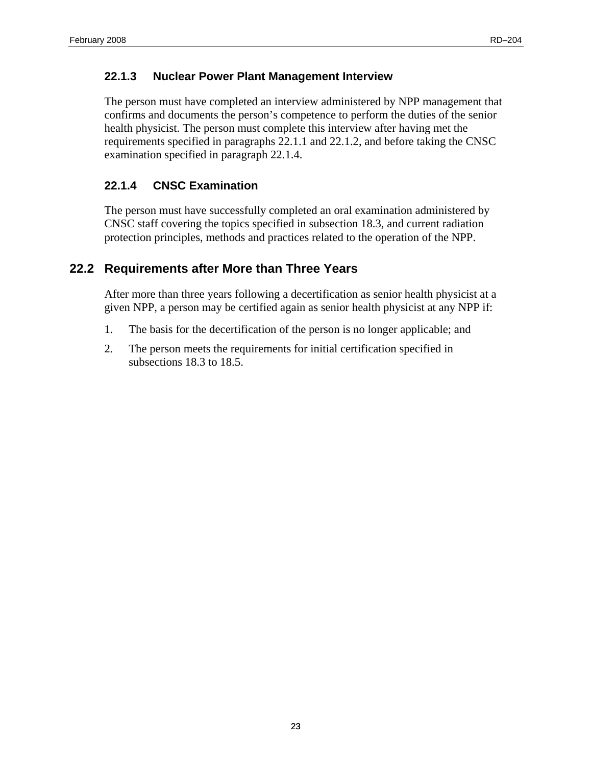#### <span id="page-34-0"></span>**22.1.3 Nuclear Power Plant Management Interview**

The person must have completed an interview administered by NPP management that confirms and documents the person's competence to perform the duties of the senior health physicist. The person must complete this interview after having met the requirements specified in paragraphs 22.1.1 and 22.1.2, and before taking the CNSC examination specified in paragraph 22.1.4.

### **22.1.4 CNSC Examination**

The person must have successfully completed an oral examination administered by CNSC staff covering the topics specified in subsection 18.3, and current radiation protection principles, methods and practices related to the operation of the NPP.

## **22.2 Requirements after More than Three Years**

After more than three years following a decertification as senior health physicist at a given NPP, a person may be certified again as senior health physicist at any NPP if:

- 1. The basis for the decertification of the person is no longer applicable; and
- 2. The person meets the requirements for initial certification specified in subsections 18.3 to 18.5.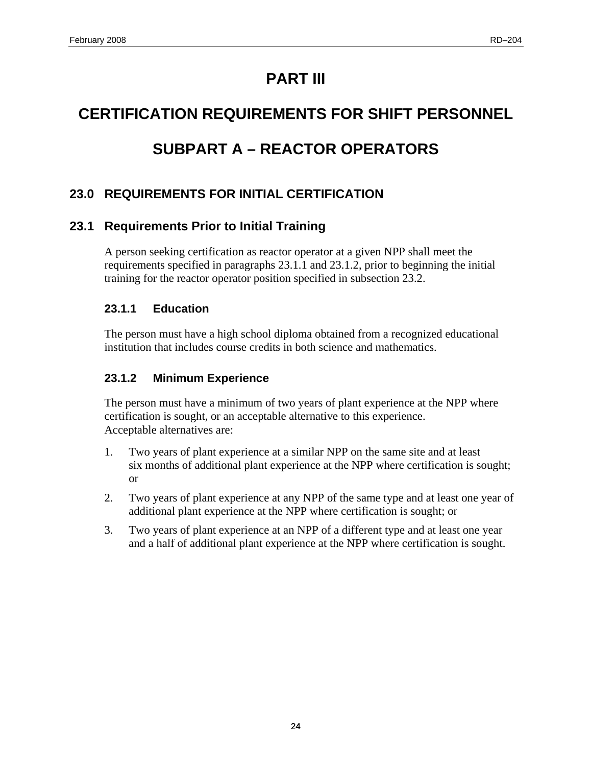# **PART III**

# <span id="page-35-0"></span>**CERTIFICATION REQUIREMENTS FOR SHIFT PERSONNEL**

# **SUBPART A – REACTOR OPERATORS**

# **23.0 REQUIREMENTS FOR INITIAL CERTIFICATION**

# **23.1 Requirements Prior to Initial Training**

A person seeking certification as reactor operator at a given NPP shall meet the requirements specified in paragraphs 23.1.1 and 23.1.2, prior to beginning the initial training for the reactor operator position specified in subsection 23.2.

### **23.1.1 Education**

The person must have a high school diploma obtained from a recognized educational institution that includes course credits in both science and mathematics.

### **23.1.2 Minimum Experience**

The person must have a minimum of two years of plant experience at the NPP where certification is sought, or an acceptable alternative to this experience. Acceptable alternatives are:

- 1. Two years of plant experience at a similar NPP on the same site and at least six months of additional plant experience at the NPP where certification is sought; or
- 2. Two years of plant experience at any NPP of the same type and at least one year of additional plant experience at the NPP where certification is sought; or
- 3. Two years of plant experience at an NPP of a different type and at least one year and a half of additional plant experience at the NPP where certification is sought.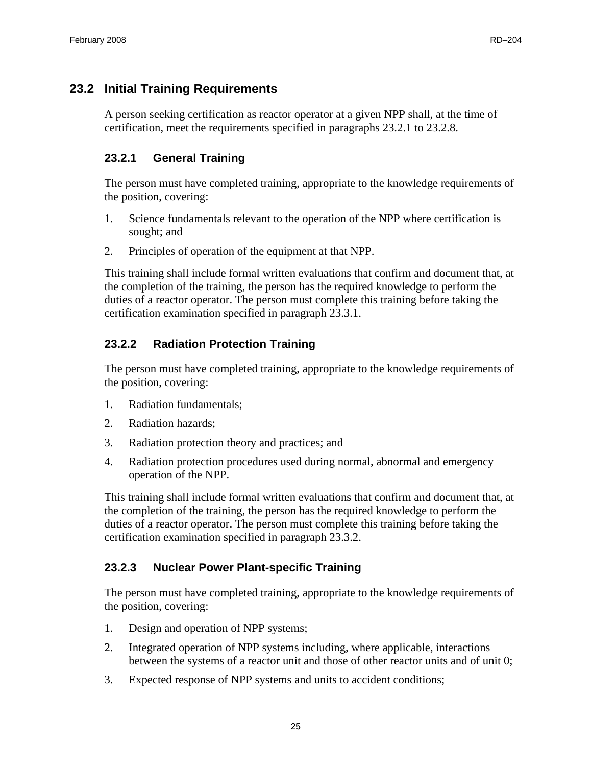# <span id="page-36-0"></span>**23.2 Initial Training Requirements**

A person seeking certification as reactor operator at a given NPP shall, at the time of certification, meet the requirements specified in paragraphs 23.2.1 to 23.2.8.

## **23.2.1 General Training**

The person must have completed training, appropriate to the knowledge requirements of the position, covering:

- 1. Science fundamentals relevant to the operation of the NPP where certification is sought; and
- 2. Principles of operation of the equipment at that NPP.

This training shall include formal written evaluations that confirm and document that, at the completion of the training, the person has the required knowledge to perform the duties of a reactor operator. The person must complete this training before taking the certification examination specified in paragraph 23.3.1.

# **23.2.2 Radiation Protection Training**

The person must have completed training, appropriate to the knowledge requirements of the position, covering:

- 1. Radiation fundamentals;
- 2. Radiation hazards;
- 3. Radiation protection theory and practices; and
- 4. Radiation protection procedures used during normal, abnormal and emergency operation of the NPP.

This training shall include formal written evaluations that confirm and document that, at the completion of the training, the person has the required knowledge to perform the duties of a reactor operator. The person must complete this training before taking the certification examination specified in paragraph 23.3.2.

### **23.2.3 Nuclear Power Plant-specific Training**

The person must have completed training, appropriate to the knowledge requirements of the position, covering:

- 1. Design and operation of NPP systems;
- 2. Integrated operation of NPP systems including, where applicable, interactions between the systems of a reactor unit and those of other reactor units and of unit 0;
- 3. Expected response of NPP systems and units to accident conditions;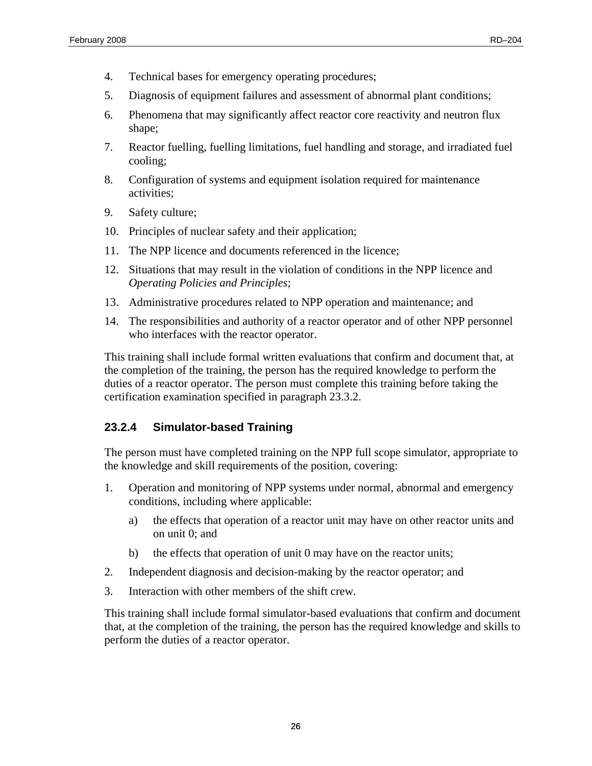- <span id="page-37-0"></span>4. Technical bases for emergency operating procedures;
- 5. Diagnosis of equipment failures and assessment of abnormal plant conditions;
- 6. Phenomena that may significantly affect reactor core reactivity and neutron flux shape;
- 7. Reactor fuelling, fuelling limitations, fuel handling and storage, and irradiated fuel cooling;
- 8. Configuration of systems and equipment isolation required for maintenance activities;
- 9. Safety culture;
- 10. Principles of nuclear safety and their application;
- 11. The NPP licence and documents referenced in the licence;
- 12. Situations that may result in the violation of conditions in the NPP licence and *Operating Policies and Principles*;
- 13. Administrative procedures related to NPP operation and maintenance; and
- 14. The responsibilities and authority of a reactor operator and of other NPP personnel who interfaces with the reactor operator.

This training shall include formal written evaluations that confirm and document that, at the completion of the training, the person has the required knowledge to perform the duties of a reactor operator. The person must complete this training before taking the certification examination specified in paragraph 23.3.2.

#### **23.2.4 Simulator-based Training**

The person must have completed training on the NPP full scope simulator, appropriate to the knowledge and skill requirements of the position, covering:

- 1. Operation and monitoring of NPP systems under normal, abnormal and emergency conditions, including where applicable:
	- a) the effects that operation of a reactor unit may have on other reactor units and on unit 0; and
	- b) the effects that operation of unit 0 may have on the reactor units;
- 2. Independent diagnosis and decision-making by the reactor operator; and
- 3. Interaction with other members of the shift crew.

This training shall include formal simulator-based evaluations that confirm and document that, at the completion of the training, the person has the required knowledge and skills to perform the duties of a reactor operator.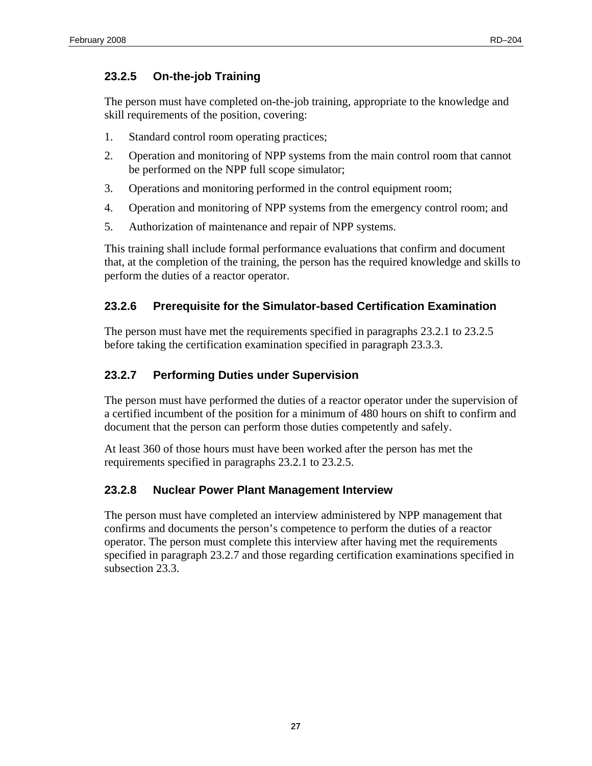### <span id="page-38-0"></span>**23.2.5 On-the-job Training**

The person must have completed on-the-job training, appropriate to the knowledge and skill requirements of the position, covering:

- 1. Standard control room operating practices;
- 2. Operation and monitoring of NPP systems from the main control room that cannot be performed on the NPP full scope simulator;
- 3. Operations and monitoring performed in the control equipment room;
- 4. Operation and monitoring of NPP systems from the emergency control room; and
- 5. Authorization of maintenance and repair of NPP systems.

This training shall include formal performance evaluations that confirm and document that, at the completion of the training, the person has the required knowledge and skills to perform the duties of a reactor operator.

#### **23.2.6 Prerequisite for the Simulator-based Certification Examination**

The person must have met the requirements specified in paragraphs 23.2.1 to 23.2.5 before taking the certification examination specified in paragraph 23.3.3.

### **23.2.7 Performing Duties under Supervision**

The person must have performed the duties of a reactor operator under the supervision of a certified incumbent of the position for a minimum of 480 hours on shift to confirm and document that the person can perform those duties competently and safely.

At least 360 of those hours must have been worked after the person has met the requirements specified in paragraphs 23.2.1 to 23.2.5.

#### **23.2.8 Nuclear Power Plant Management Interview**

The person must have completed an interview administered by NPP management that confirms and documents the person's competence to perform the duties of a reactor operator. The person must complete this interview after having met the requirements specified in paragraph 23.2.7 and those regarding certification examinations specified in subsection 23.3.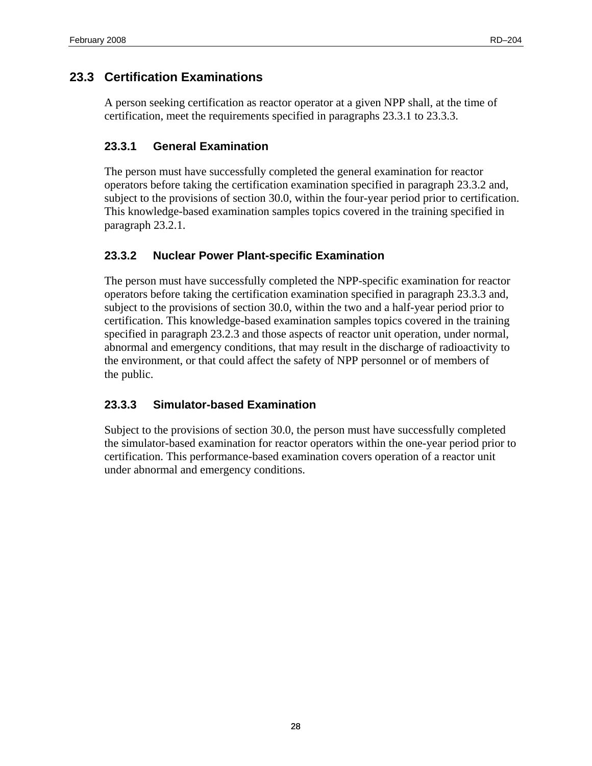# <span id="page-39-0"></span>**23.3 Certification Examinations**

A person seeking certification as reactor operator at a given NPP shall, at the time of certification, meet the requirements specified in paragraphs 23.3.1 to 23.3.3.

#### **23.3.1 General Examination**

The person must have successfully completed the general examination for reactor operators before taking the certification examination specified in paragraph 23.3.2 and, subject to the provisions of section 30.0, within the four-year period prior to certification. This knowledge-based examination samples topics covered in the training specified in paragraph 23.2.1.

#### **23.3.2 Nuclear Power Plant-specific Examination**

The person must have successfully completed the NPP-specific examination for reactor operators before taking the certification examination specified in paragraph 23.3.3 and, subject to the provisions of section 30.0, within the two and a half-year period prior to certification. This knowledge-based examination samples topics covered in the training specified in paragraph 23.2.3 and those aspects of reactor unit operation, under normal, abnormal and emergency conditions, that may result in the discharge of radioactivity to the environment, or that could affect the safety of NPP personnel or of members of the public.

### **23.3.3 Simulator-based Examination**

Subject to the provisions of section 30.0, the person must have successfully completed the simulator-based examination for reactor operators within the one-year period prior to certification. This performance-based examination covers operation of a reactor unit under abnormal and emergency conditions.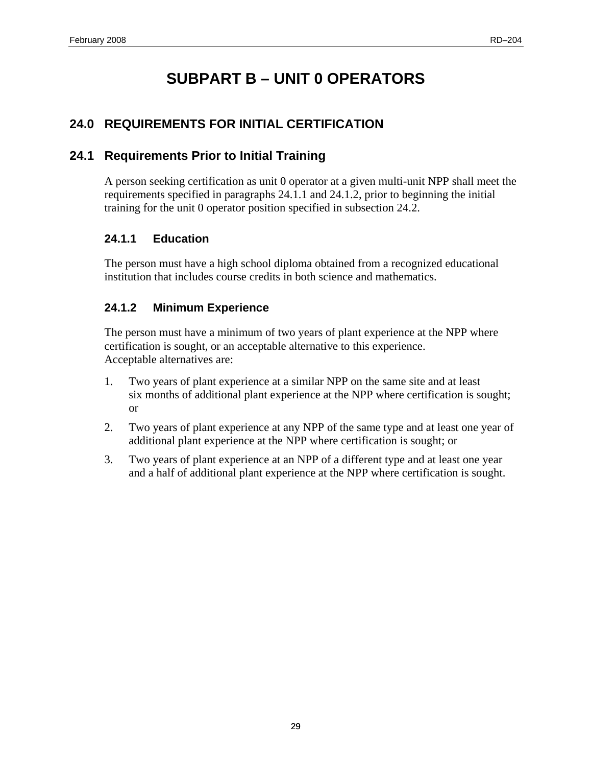# **SUBPART B – UNIT 0 OPERATORS**

# <span id="page-40-0"></span>**24.0 REQUIREMENTS FOR INITIAL CERTIFICATION**

# **24.1 Requirements Prior to Initial Training**

A person seeking certification as unit 0 operator at a given multi-unit NPP shall meet the requirements specified in paragraphs 24.1.1 and 24.1.2, prior to beginning the initial training for the unit 0 operator position specified in subsection 24.2.

## **24.1.1 Education**

The person must have a high school diploma obtained from a recognized educational institution that includes course credits in both science and mathematics.

## **24.1.2 Minimum Experience**

The person must have a minimum of two years of plant experience at the NPP where certification is sought, or an acceptable alternative to this experience. Acceptable alternatives are:

- 1. Two years of plant experience at a similar NPP on the same site and at least six months of additional plant experience at the NPP where certification is sought; or
- 2. Two years of plant experience at any NPP of the same type and at least one year of additional plant experience at the NPP where certification is sought; or
- 3. Two years of plant experience at an NPP of a different type and at least one year and a half of additional plant experience at the NPP where certification is sought.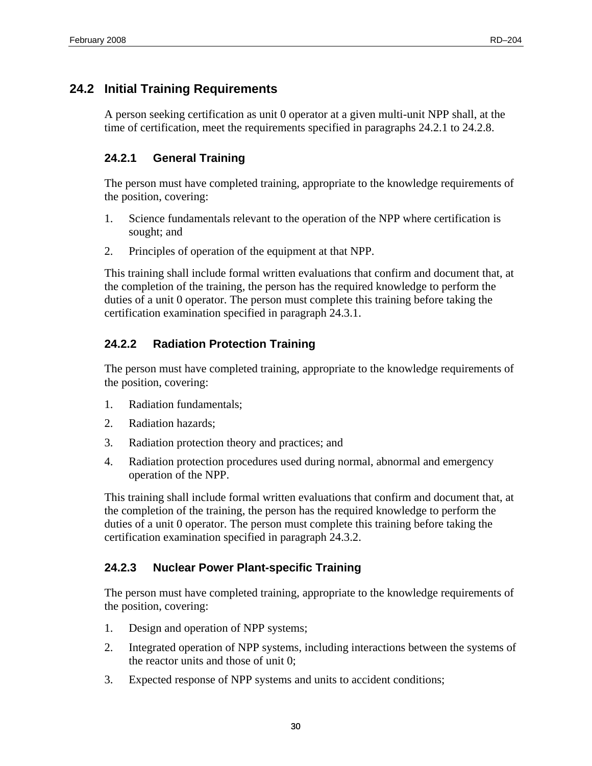# <span id="page-41-0"></span>**24.2 Initial Training Requirements**

A person seeking certification as unit 0 operator at a given multi-unit NPP shall, at the time of certification, meet the requirements specified in paragraphs 24.2.1 to 24.2.8.

### **24.2.1 General Training**

The person must have completed training, appropriate to the knowledge requirements of the position, covering:

- 1. Science fundamentals relevant to the operation of the NPP where certification is sought; and
- 2. Principles of operation of the equipment at that NPP.

This training shall include formal written evaluations that confirm and document that, at the completion of the training, the person has the required knowledge to perform the duties of a unit 0 operator. The person must complete this training before taking the certification examination specified in paragraph 24.3.1.

## **24.2.2 Radiation Protection Training**

The person must have completed training, appropriate to the knowledge requirements of the position, covering:

- 1. Radiation fundamentals;
- 2. Radiation hazards;
- 3. Radiation protection theory and practices; and
- 4. Radiation protection procedures used during normal, abnormal and emergency operation of the NPP.

This training shall include formal written evaluations that confirm and document that, at the completion of the training, the person has the required knowledge to perform the duties of a unit 0 operator. The person must complete this training before taking the certification examination specified in paragraph 24.3.2.

### **24.2.3 Nuclear Power Plant-specific Training**

The person must have completed training, appropriate to the knowledge requirements of the position, covering:

- 1. Design and operation of NPP systems;
- 2. Integrated operation of NPP systems, including interactions between the systems of the reactor units and those of unit 0;
- 3. Expected response of NPP systems and units to accident conditions;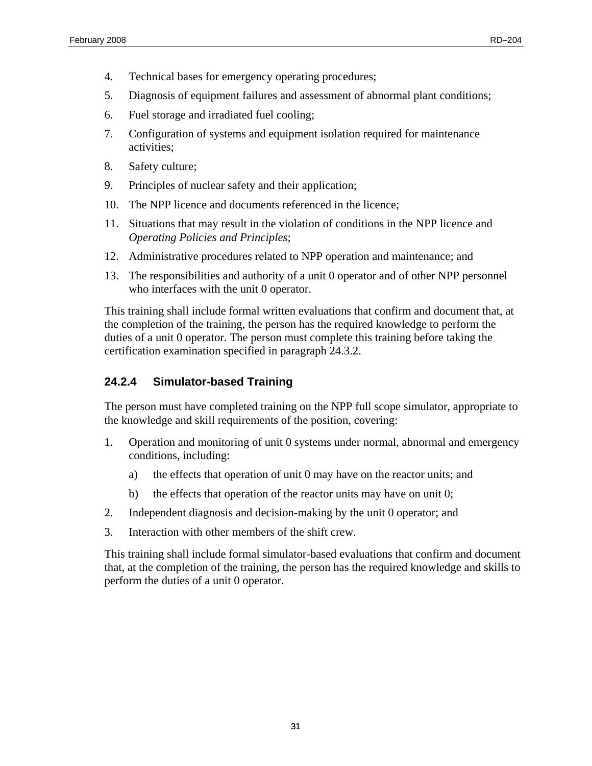- <span id="page-42-0"></span>4. Technical bases for emergency operating procedures;
- 5. Diagnosis of equipment failures and assessment of abnormal plant conditions;
- 6. Fuel storage and irradiated fuel cooling;
- 7. Configuration of systems and equipment isolation required for maintenance activities;
- 8. Safety culture;
- 9. Principles of nuclear safety and their application;
- 10. The NPP licence and documents referenced in the licence;
- 11. Situations that may result in the violation of conditions in the NPP licence and *Operating Policies and Principles*;
- 12. Administrative procedures related to NPP operation and maintenance; and
- 13. The responsibilities and authority of a unit 0 operator and of other NPP personnel who interfaces with the unit 0 operator.

This training shall include formal written evaluations that confirm and document that, at the completion of the training, the person has the required knowledge to perform the duties of a unit 0 operator. The person must complete this training before taking the certification examination specified in paragraph 24.3.2.

#### **24.2.4 Simulator-based Training**

The person must have completed training on the NPP full scope simulator, appropriate to the knowledge and skill requirements of the position, covering:

- 1. Operation and monitoring of unit 0 systems under normal, abnormal and emergency conditions, including:
	- a) the effects that operation of unit 0 may have on the reactor units; and
	- b) the effects that operation of the reactor units may have on unit 0;
- 2. Independent diagnosis and decision-making by the unit 0 operator; and
- 3. Interaction with other members of the shift crew.

This training shall include formal simulator-based evaluations that confirm and document that, at the completion of the training, the person has the required knowledge and skills to perform the duties of a unit 0 operator.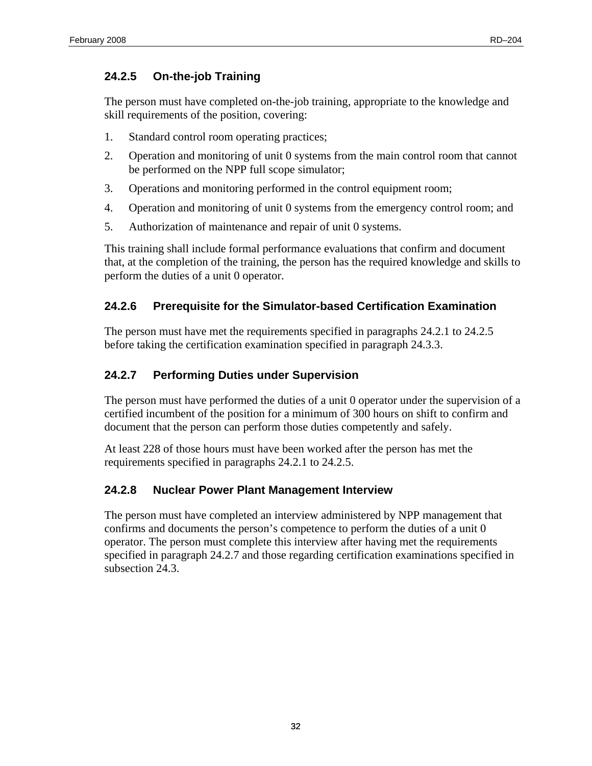### <span id="page-43-0"></span>**24.2.5 On-the-job Training**

The person must have completed on-the-job training, appropriate to the knowledge and skill requirements of the position, covering:

- 1. Standard control room operating practices;
- 2. Operation and monitoring of unit 0 systems from the main control room that cannot be performed on the NPP full scope simulator;
- 3. Operations and monitoring performed in the control equipment room;
- 4. Operation and monitoring of unit 0 systems from the emergency control room; and
- 5. Authorization of maintenance and repair of unit 0 systems.

This training shall include formal performance evaluations that confirm and document that, at the completion of the training, the person has the required knowledge and skills to perform the duties of a unit 0 operator.

#### **24.2.6 Prerequisite for the Simulator-based Certification Examination**

The person must have met the requirements specified in paragraphs 24.2.1 to 24.2.5 before taking the certification examination specified in paragraph 24.3.3.

### **24.2.7 Performing Duties under Supervision**

The person must have performed the duties of a unit 0 operator under the supervision of a certified incumbent of the position for a minimum of 300 hours on shift to confirm and document that the person can perform those duties competently and safely.

At least 228 of those hours must have been worked after the person has met the requirements specified in paragraphs 24.2.1 to 24.2.5.

#### **24.2.8 Nuclear Power Plant Management Interview**

The person must have completed an interview administered by NPP management that confirms and documents the person's competence to perform the duties of a unit 0 operator. The person must complete this interview after having met the requirements specified in paragraph 24.2.7 and those regarding certification examinations specified in subsection 24.3.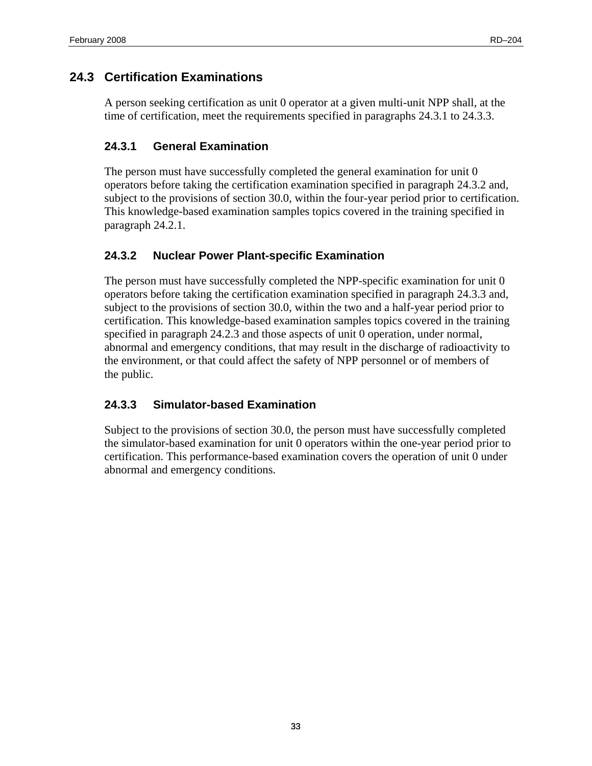# <span id="page-44-0"></span>**24.3 Certification Examinations**

A person seeking certification as unit 0 operator at a given multi-unit NPP shall, at the time of certification, meet the requirements specified in paragraphs 24.3.1 to 24.3.3.

#### **24.3.1 General Examination**

The person must have successfully completed the general examination for unit 0 operators before taking the certification examination specified in paragraph 24.3.2 and, subject to the provisions of section 30.0, within the four-year period prior to certification. This knowledge-based examination samples topics covered in the training specified in paragraph 24.2.1.

#### **24.3.2 Nuclear Power Plant-specific Examination**

The person must have successfully completed the NPP-specific examination for unit 0 operators before taking the certification examination specified in paragraph 24.3.3 and, subject to the provisions of section 30.0, within the two and a half-year period prior to certification. This knowledge-based examination samples topics covered in the training specified in paragraph 24.2.3 and those aspects of unit 0 operation, under normal, abnormal and emergency conditions, that may result in the discharge of radioactivity to the environment, or that could affect the safety of NPP personnel or of members of the public.

### **24.3.3 Simulator-based Examination**

Subject to the provisions of section 30.0, the person must have successfully completed the simulator-based examination for unit 0 operators within the one-year period prior to certification. This performance-based examination covers the operation of unit 0 under abnormal and emergency conditions.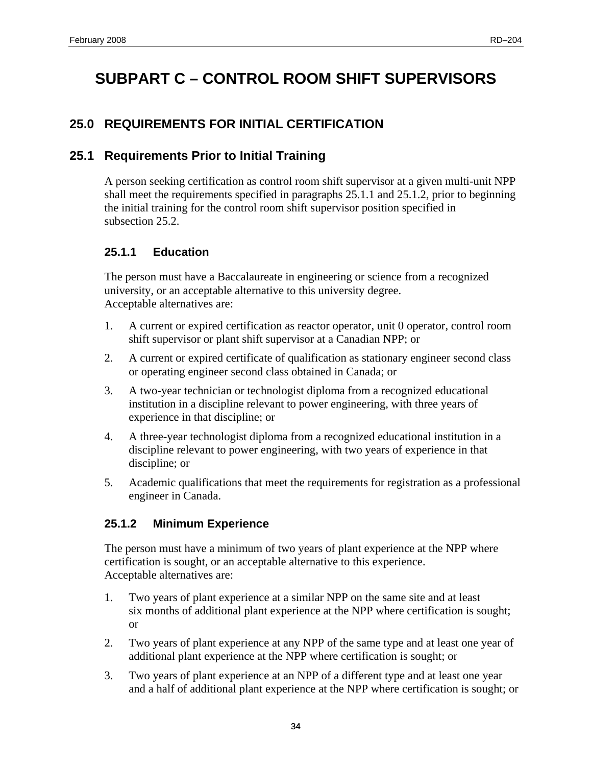# <span id="page-45-0"></span>**SUBPART C – CONTROL ROOM SHIFT SUPERVISORS**

# **25.0 REQUIREMENTS FOR INITIAL CERTIFICATION**

# **25.1 Requirements Prior to Initial Training**

A person seeking certification as control room shift supervisor at a given multi-unit NPP shall meet the requirements specified in paragraphs 25.1.1 and 25.1.2, prior to beginning the initial training for the control room shift supervisor position specified in subsection 25.2.

### **25.1.1 Education**

The person must have a Baccalaureate in engineering or science from a recognized university, or an acceptable alternative to this university degree. Acceptable alternatives are:

- 1. A current or expired certification as reactor operator, unit 0 operator, control room shift supervisor or plant shift supervisor at a Canadian NPP; or
- 2. A current or expired certificate of qualification as stationary engineer second class or operating engineer second class obtained in Canada; or
- 3. A two-year technician or technologist diploma from a recognized educational institution in a discipline relevant to power engineering, with three years of experience in that discipline; or
- 4. A three-year technologist diploma from a recognized educational institution in a discipline relevant to power engineering, with two years of experience in that discipline; or
- 5. Academic qualifications that meet the requirements for registration as a professional engineer in Canada.

### **25.1.2 Minimum Experience**

The person must have a minimum of two years of plant experience at the NPP where certification is sought, or an acceptable alternative to this experience. Acceptable alternatives are:

- 1. Two years of plant experience at a similar NPP on the same site and at least six months of additional plant experience at the NPP where certification is sought; or
- 2. Two years of plant experience at any NPP of the same type and at least one year of additional plant experience at the NPP where certification is sought; or
- 3. Two years of plant experience at an NPP of a different type and at least one year and a half of additional plant experience at the NPP where certification is sought; or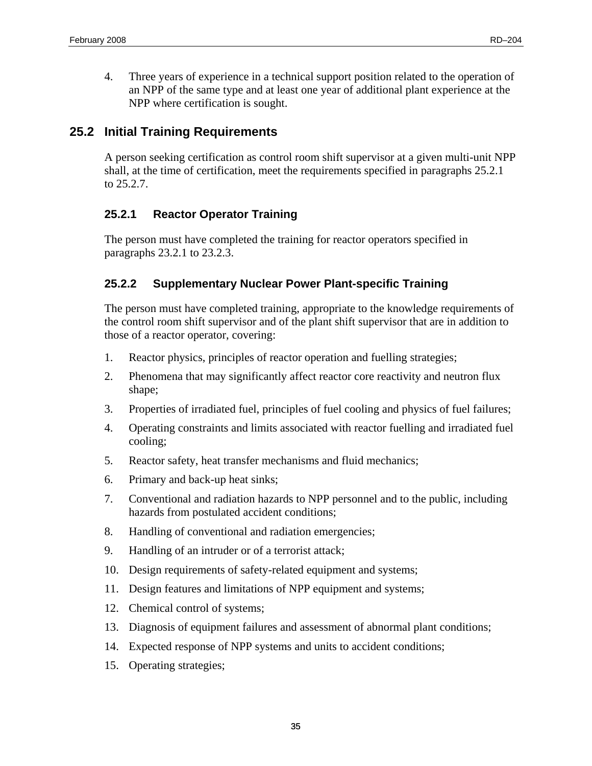<span id="page-46-0"></span>4. Three years of experience in a technical support position related to the operation of an NPP of the same type and at least one year of additional plant experience at the NPP where certification is sought.

# **25.2 Initial Training Requirements**

A person seeking certification as control room shift supervisor at a given multi-unit NPP shall, at the time of certification, meet the requirements specified in paragraphs 25.2.1 to 25.2.7.

## **25.2.1 Reactor Operator Training**

The person must have completed the training for reactor operators specified in paragraphs 23.2.1 to 23.2.3.

## **25.2.2 Supplementary Nuclear Power Plant-specific Training**

The person must have completed training, appropriate to the knowledge requirements of the control room shift supervisor and of the plant shift supervisor that are in addition to those of a reactor operator, covering:

- 1. Reactor physics, principles of reactor operation and fuelling strategies;
- 2. Phenomena that may significantly affect reactor core reactivity and neutron flux shape;
- 3. Properties of irradiated fuel, principles of fuel cooling and physics of fuel failures;
- 4. Operating constraints and limits associated with reactor fuelling and irradiated fuel cooling;
- 5. Reactor safety, heat transfer mechanisms and fluid mechanics;
- 6. Primary and back-up heat sinks;
- 7. Conventional and radiation hazards to NPP personnel and to the public, including hazards from postulated accident conditions;
- 8. Handling of conventional and radiation emergencies;
- 9. Handling of an intruder or of a terrorist attack;
- 10. Design requirements of safety-related equipment and systems;
- 11. Design features and limitations of NPP equipment and systems;
- 12. Chemical control of systems;
- 13. Diagnosis of equipment failures and assessment of abnormal plant conditions;
- 14. Expected response of NPP systems and units to accident conditions;
- 15. Operating strategies;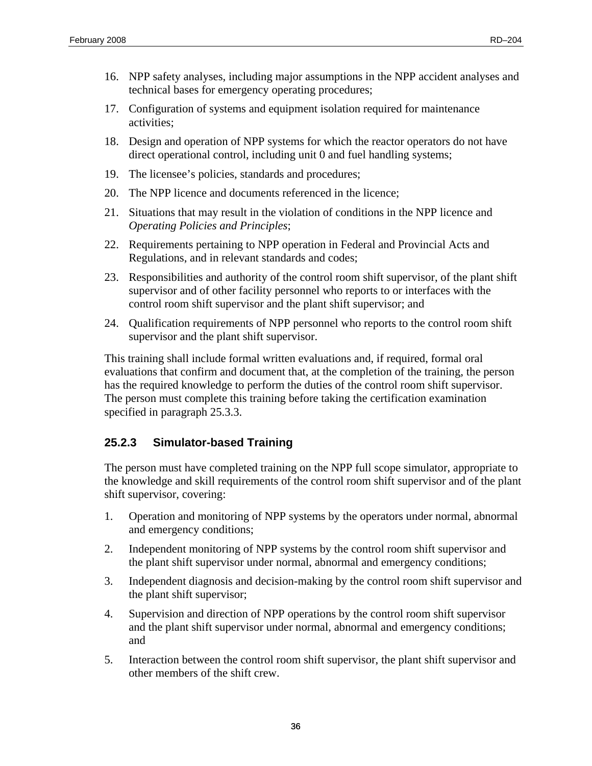- <span id="page-47-0"></span>16. NPP safety analyses, including major assumptions in the NPP accident analyses and technical bases for emergency operating procedures;
- 17. Configuration of systems and equipment isolation required for maintenance activities;
- 18. Design and operation of NPP systems for which the reactor operators do not have direct operational control, including unit 0 and fuel handling systems;
- 19. The licensee's policies, standards and procedures;
- 20. The NPP licence and documents referenced in the licence;
- 21. Situations that may result in the violation of conditions in the NPP licence and *Operating Policies and Principles*;
- 22. Requirements pertaining to NPP operation in Federal and Provincial Acts and Regulations, and in relevant standards and codes;
- 23. Responsibilities and authority of the control room shift supervisor, of the plant shift supervisor and of other facility personnel who reports to or interfaces with the control room shift supervisor and the plant shift supervisor; and
- 24. Qualification requirements of NPP personnel who reports to the control room shift supervisor and the plant shift supervisor.

This training shall include formal written evaluations and, if required, formal oral evaluations that confirm and document that, at the completion of the training, the person has the required knowledge to perform the duties of the control room shift supervisor. The person must complete this training before taking the certification examination specified in paragraph 25.3.3.

### **25.2.3 Simulator-based Training**

The person must have completed training on the NPP full scope simulator, appropriate to the knowledge and skill requirements of the control room shift supervisor and of the plant shift supervisor, covering:

- 1. Operation and monitoring of NPP systems by the operators under normal, abnormal and emergency conditions;
- 2. Independent monitoring of NPP systems by the control room shift supervisor and the plant shift supervisor under normal, abnormal and emergency conditions;
- 3. Independent diagnosis and decision-making by the control room shift supervisor and the plant shift supervisor;
- 4. Supervision and direction of NPP operations by the control room shift supervisor and the plant shift supervisor under normal, abnormal and emergency conditions; and
- 5. Interaction between the control room shift supervisor, the plant shift supervisor and other members of the shift crew.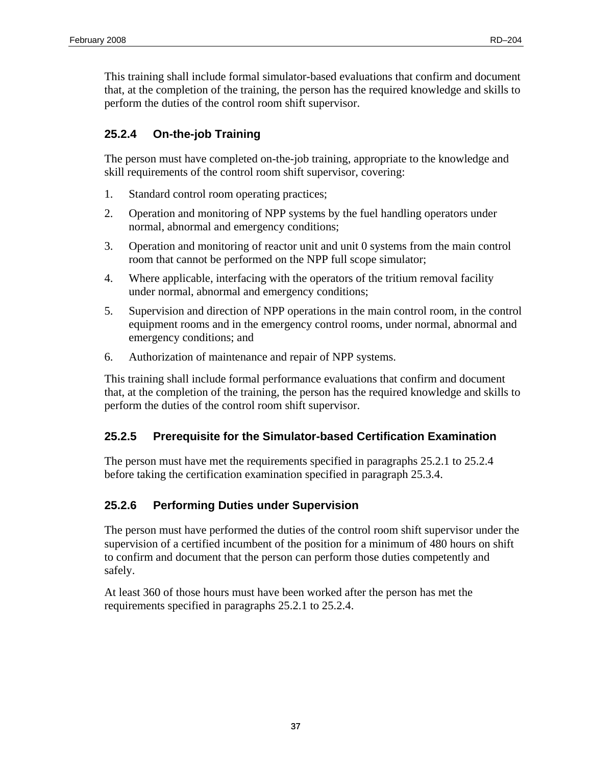<span id="page-48-0"></span>This training shall include formal simulator-based evaluations that confirm and document that, at the completion of the training, the person has the required knowledge and skills to perform the duties of the control room shift supervisor.

# **25.2.4 On-the-job Training**

The person must have completed on-the-job training, appropriate to the knowledge and skill requirements of the control room shift supervisor, covering:

- 1. Standard control room operating practices;
- 2. Operation and monitoring of NPP systems by the fuel handling operators under normal, abnormal and emergency conditions;
- 3. Operation and monitoring of reactor unit and unit 0 systems from the main control room that cannot be performed on the NPP full scope simulator;
- 4. Where applicable, interfacing with the operators of the tritium removal facility under normal, abnormal and emergency conditions;
- 5. Supervision and direction of NPP operations in the main control room, in the control equipment rooms and in the emergency control rooms, under normal, abnormal and emergency conditions; and
- 6. Authorization of maintenance and repair of NPP systems.

This training shall include formal performance evaluations that confirm and document that, at the completion of the training, the person has the required knowledge and skills to perform the duties of the control room shift supervisor.

# **25.2.5 Prerequisite for the Simulator-based Certification Examination**

The person must have met the requirements specified in paragraphs 25.2.1 to 25.2.4 before taking the certification examination specified in paragraph 25.3.4.

# **25.2.6 Performing Duties under Supervision**

The person must have performed the duties of the control room shift supervisor under the supervision of a certified incumbent of the position for a minimum of 480 hours on shift to confirm and document that the person can perform those duties competently and safely.

At least 360 of those hours must have been worked after the person has met the requirements specified in paragraphs 25.2.1 to 25.2.4.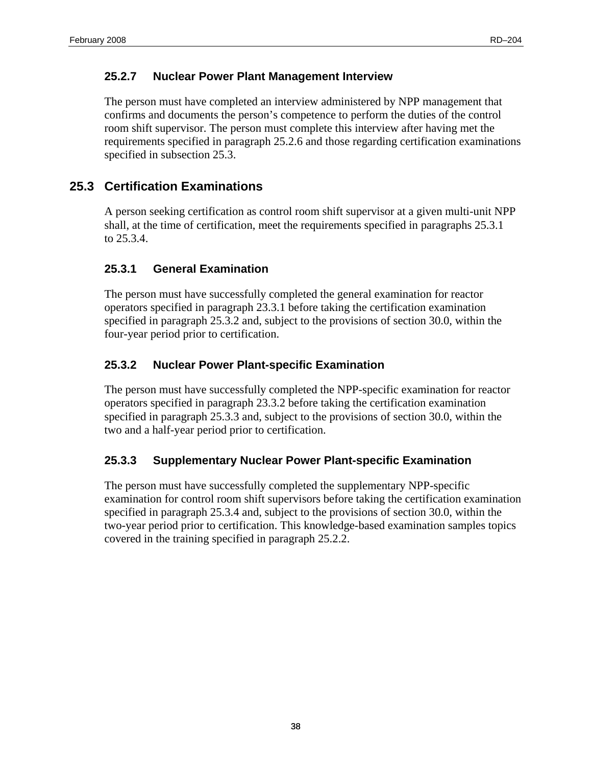### <span id="page-49-0"></span>**25.2.7 Nuclear Power Plant Management Interview**

The person must have completed an interview administered by NPP management that confirms and documents the person's competence to perform the duties of the control room shift supervisor. The person must complete this interview after having met the requirements specified in paragraph 25.2.6 and those regarding certification examinations specified in subsection 25.3.

# **25.3 Certification Examinations**

A person seeking certification as control room shift supervisor at a given multi-unit NPP shall, at the time of certification, meet the requirements specified in paragraphs 25.3.1 to 25.3.4.

## **25.3.1 General Examination**

The person must have successfully completed the general examination for reactor operators specified in paragraph 23.3.1 before taking the certification examination specified in paragraph 25.3.2 and, subject to the provisions of section 30.0, within the four-year period prior to certification.

## **25.3.2 Nuclear Power Plant-specific Examination**

The person must have successfully completed the NPP-specific examination for reactor operators specified in paragraph 23.3.2 before taking the certification examination specified in paragraph 25.3.3 and, subject to the provisions of section 30.0, within the two and a half-year period prior to certification.

### **25.3.3 Supplementary Nuclear Power Plant-specific Examination**

The person must have successfully completed the supplementary NPP-specific examination for control room shift supervisors before taking the certification examination specified in paragraph 25.3.4 and, subject to the provisions of section 30.0, within the two-year period prior to certification. This knowledge-based examination samples topics covered in the training specified in paragraph 25.2.2.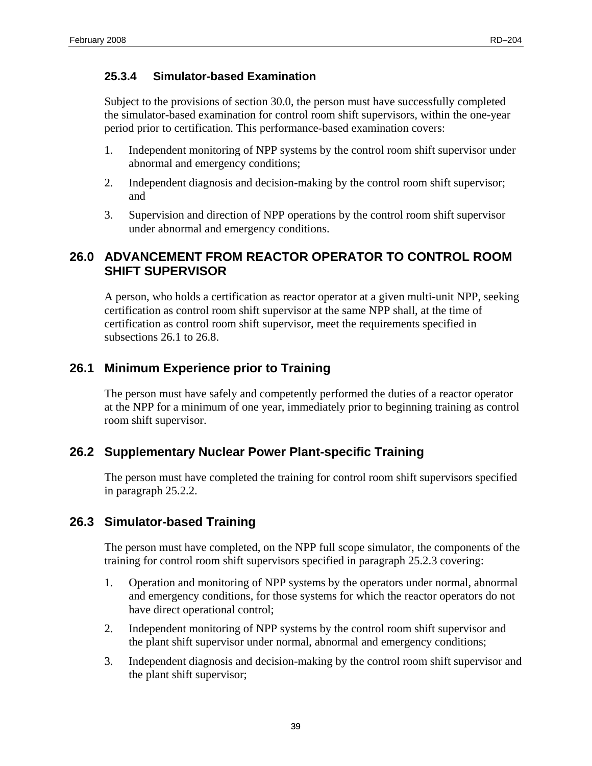#### <span id="page-50-0"></span>**25.3.4 Simulator-based Examination**

Subject to the provisions of section 30.0, the person must have successfully completed the simulator-based examination for control room shift supervisors, within the one-year period prior to certification. This performance-based examination covers:

- 1. Independent monitoring of NPP systems by the control room shift supervisor under abnormal and emergency conditions;
- 2. Independent diagnosis and decision-making by the control room shift supervisor; and
- 3. Supervision and direction of NPP operations by the control room shift supervisor under abnormal and emergency conditions.

## **26.0 ADVANCEMENT FROM REACTOR OPERATOR TO CONTROL ROOM SHIFT SUPERVISOR**

A person, who holds a certification as reactor operator at a given multi-unit NPP, seeking certification as control room shift supervisor at the same NPP shall, at the time of certification as control room shift supervisor, meet the requirements specified in subsections 26.1 to 26.8.

## **26.1 Minimum Experience prior to Training**

The person must have safely and competently performed the duties of a reactor operator at the NPP for a minimum of one year, immediately prior to beginning training as control room shift supervisor.

### **26.2 Supplementary Nuclear Power Plant-specific Training**

The person must have completed the training for control room shift supervisors specified in paragraph 25.2.2.

### **26.3 Simulator-based Training**

The person must have completed, on the NPP full scope simulator, the components of the training for control room shift supervisors specified in paragraph 25.2.3 covering:

- 1. Operation and monitoring of NPP systems by the operators under normal, abnormal and emergency conditions, for those systems for which the reactor operators do not have direct operational control;
- 2. Independent monitoring of NPP systems by the control room shift supervisor and the plant shift supervisor under normal, abnormal and emergency conditions;
- 3. Independent diagnosis and decision-making by the control room shift supervisor and the plant shift supervisor;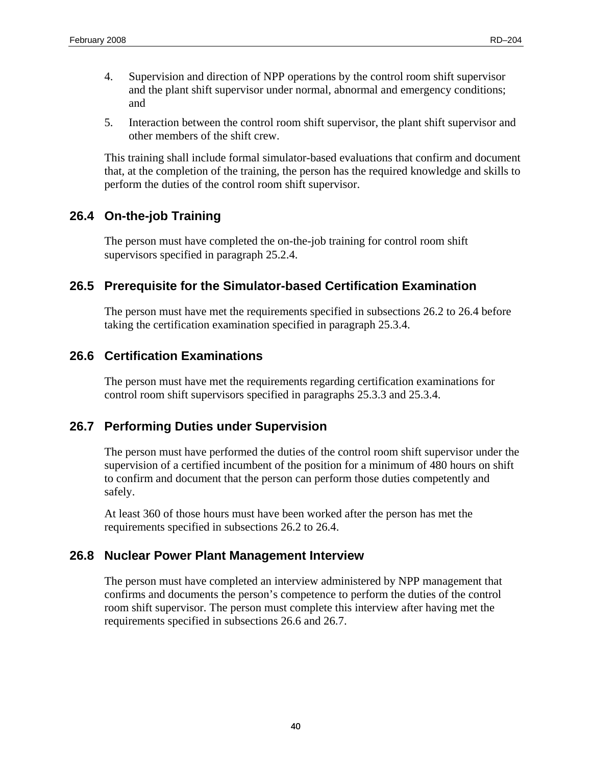- <span id="page-51-0"></span>4. Supervision and direction of NPP operations by the control room shift supervisor and the plant shift supervisor under normal, abnormal and emergency conditions; and
- 5. Interaction between the control room shift supervisor, the plant shift supervisor and other members of the shift crew.

This training shall include formal simulator-based evaluations that confirm and document that, at the completion of the training, the person has the required knowledge and skills to perform the duties of the control room shift supervisor.

# **26.4 On-the-job Training**

The person must have completed the on-the-job training for control room shift supervisors specified in paragraph 25.2.4.

# **26.5 Prerequisite for the Simulator-based Certification Examination**

The person must have met the requirements specified in subsections 26.2 to 26.4 before taking the certification examination specified in paragraph 25.3.4.

# **26.6 Certification Examinations**

The person must have met the requirements regarding certification examinations for control room shift supervisors specified in paragraphs 25.3.3 and 25.3.4.

# **26.7 Performing Duties under Supervision**

The person must have performed the duties of the control room shift supervisor under the supervision of a certified incumbent of the position for a minimum of 480 hours on shift to confirm and document that the person can perform those duties competently and safely.

At least 360 of those hours must have been worked after the person has met the requirements specified in subsections 26.2 to 26.4.

# **26.8 Nuclear Power Plant Management Interview**

The person must have completed an interview administered by NPP management that confirms and documents the person's competence to perform the duties of the control room shift supervisor. The person must complete this interview after having met the requirements specified in subsections 26.6 and 26.7.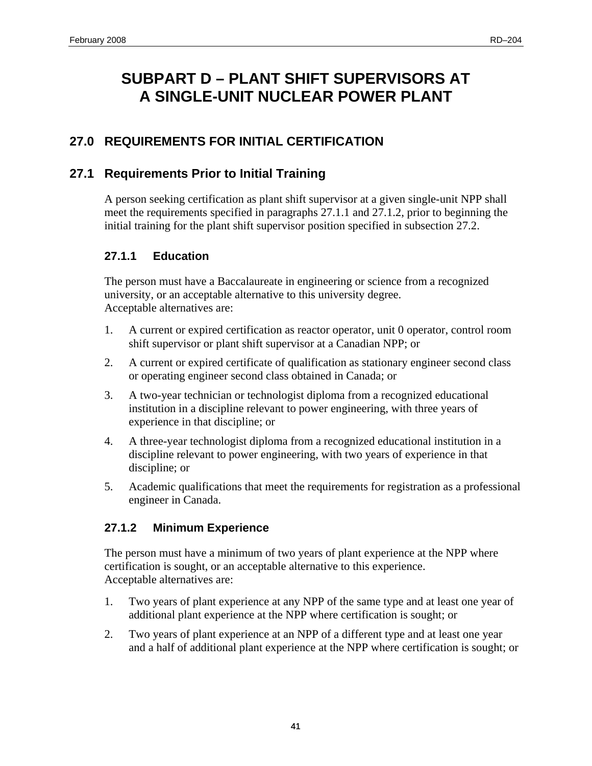# <span id="page-52-0"></span>**SUBPART D – PLANT SHIFT SUPERVISORS AT A SINGLE-UNIT NUCLEAR POWER PLANT**

# **27.0 REQUIREMENTS FOR INITIAL CERTIFICATION**

## **27.1 Requirements Prior to Initial Training**

A person seeking certification as plant shift supervisor at a given single-unit NPP shall meet the requirements specified in paragraphs 27.1.1 and 27.1.2, prior to beginning the initial training for the plant shift supervisor position specified in subsection 27.2.

### **27.1.1 Education**

The person must have a Baccalaureate in engineering or science from a recognized university, or an acceptable alternative to this university degree. Acceptable alternatives are:

- 1. A current or expired certification as reactor operator, unit 0 operator, control room shift supervisor or plant shift supervisor at a Canadian NPP; or
- 2. A current or expired certificate of qualification as stationary engineer second class or operating engineer second class obtained in Canada; or
- 3. A two-year technician or technologist diploma from a recognized educational institution in a discipline relevant to power engineering, with three years of experience in that discipline; or
- 4. A three-year technologist diploma from a recognized educational institution in a discipline relevant to power engineering, with two years of experience in that discipline; or
- 5. Academic qualifications that meet the requirements for registration as a professional engineer in Canada.

### **27.1.2 Minimum Experience**

The person must have a minimum of two years of plant experience at the NPP where certification is sought, or an acceptable alternative to this experience. Acceptable alternatives are:

- 1. Two years of plant experience at any NPP of the same type and at least one year of additional plant experience at the NPP where certification is sought; or
- 2. Two years of plant experience at an NPP of a different type and at least one year and a half of additional plant experience at the NPP where certification is sought; or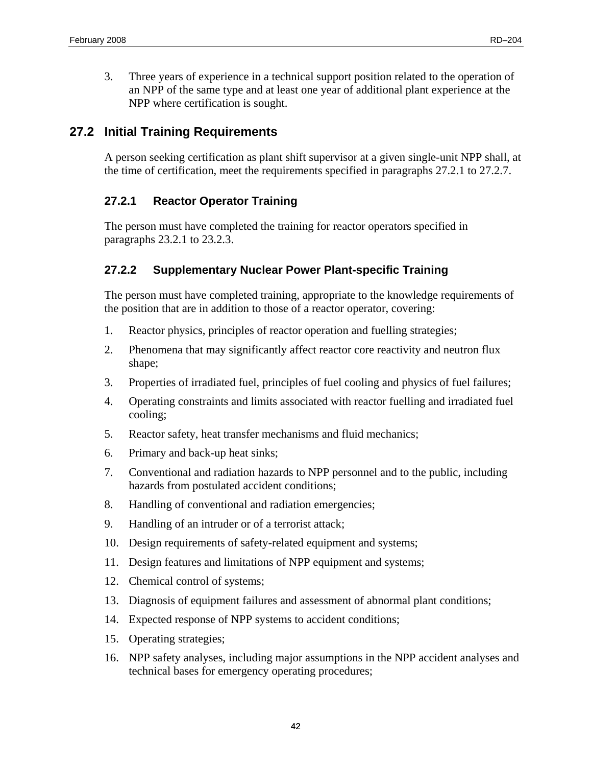<span id="page-53-0"></span>3. Three years of experience in a technical support position related to the operation of an NPP of the same type and at least one year of additional plant experience at the NPP where certification is sought.

# **27.2 Initial Training Requirements**

A person seeking certification as plant shift supervisor at a given single-unit NPP shall, at the time of certification, meet the requirements specified in paragraphs 27.2.1 to 27.2.7.

## **27.2.1 Reactor Operator Training**

The person must have completed the training for reactor operators specified in paragraphs 23.2.1 to 23.2.3.

### **27.2.2 Supplementary Nuclear Power Plant-specific Training**

The person must have completed training, appropriate to the knowledge requirements of the position that are in addition to those of a reactor operator, covering:

- 1. Reactor physics, principles of reactor operation and fuelling strategies;
- 2. Phenomena that may significantly affect reactor core reactivity and neutron flux shape;
- 3. Properties of irradiated fuel, principles of fuel cooling and physics of fuel failures;
- 4. Operating constraints and limits associated with reactor fuelling and irradiated fuel cooling;
- 5. Reactor safety, heat transfer mechanisms and fluid mechanics;
- 6. Primary and back-up heat sinks;
- 7. Conventional and radiation hazards to NPP personnel and to the public, including hazards from postulated accident conditions;
- 8. Handling of conventional and radiation emergencies;
- 9. Handling of an intruder or of a terrorist attack;
- 10. Design requirements of safety-related equipment and systems;
- 11. Design features and limitations of NPP equipment and systems;
- 12. Chemical control of systems;
- 13. Diagnosis of equipment failures and assessment of abnormal plant conditions;
- 14. Expected response of NPP systems to accident conditions;
- 15. Operating strategies;
- 16. NPP safety analyses, including major assumptions in the NPP accident analyses and technical bases for emergency operating procedures;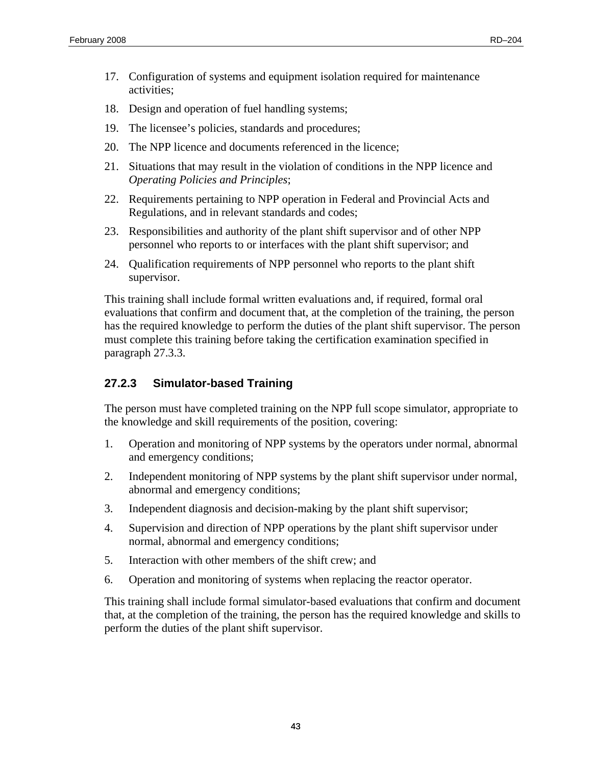- <span id="page-54-0"></span>17. Configuration of systems and equipment isolation required for maintenance activities;
- 18. Design and operation of fuel handling systems;
- 19. The licensee's policies, standards and procedures;
- 20. The NPP licence and documents referenced in the licence;
- 21. Situations that may result in the violation of conditions in the NPP licence and *Operating Policies and Principles*;
- 22. Requirements pertaining to NPP operation in Federal and Provincial Acts and Regulations, and in relevant standards and codes;
- 23. Responsibilities and authority of the plant shift supervisor and of other NPP personnel who reports to or interfaces with the plant shift supervisor; and
- 24. Qualification requirements of NPP personnel who reports to the plant shift supervisor.

This training shall include formal written evaluations and, if required, formal oral evaluations that confirm and document that, at the completion of the training, the person has the required knowledge to perform the duties of the plant shift supervisor. The person must complete this training before taking the certification examination specified in paragraph 27.3.3.

#### **27.2.3 Simulator-based Training**

The person must have completed training on the NPP full scope simulator, appropriate to the knowledge and skill requirements of the position, covering:

- 1. Operation and monitoring of NPP systems by the operators under normal, abnormal and emergency conditions;
- 2. Independent monitoring of NPP systems by the plant shift supervisor under normal, abnormal and emergency conditions;
- 3. Independent diagnosis and decision-making by the plant shift supervisor;
- 4. Supervision and direction of NPP operations by the plant shift supervisor under normal, abnormal and emergency conditions;
- 5. Interaction with other members of the shift crew; and
- 6. Operation and monitoring of systems when replacing the reactor operator.

This training shall include formal simulator-based evaluations that confirm and document that, at the completion of the training, the person has the required knowledge and skills to perform the duties of the plant shift supervisor.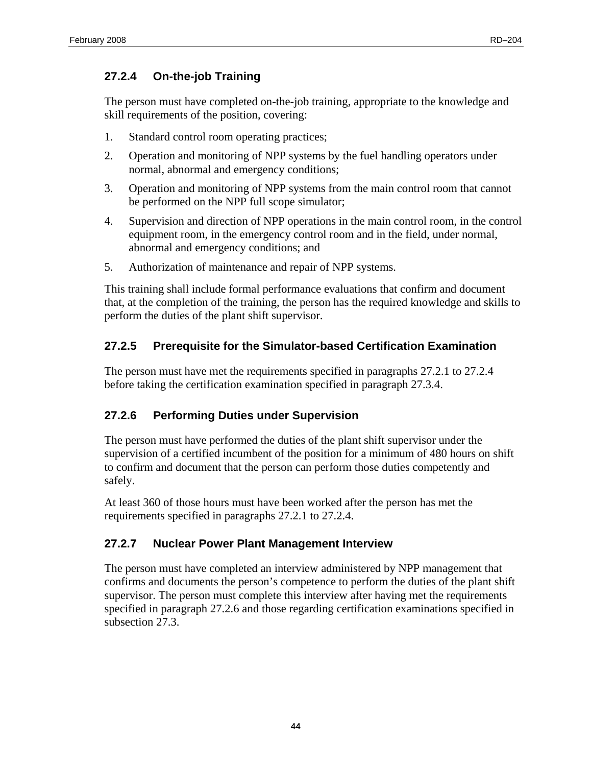### <span id="page-55-0"></span>**27.2.4 On-the-job Training**

The person must have completed on-the-job training, appropriate to the knowledge and skill requirements of the position, covering:

- 1. Standard control room operating practices;
- 2. Operation and monitoring of NPP systems by the fuel handling operators under normal, abnormal and emergency conditions;
- 3. Operation and monitoring of NPP systems from the main control room that cannot be performed on the NPP full scope simulator;
- 4. Supervision and direction of NPP operations in the main control room, in the control equipment room, in the emergency control room and in the field, under normal, abnormal and emergency conditions; and
- 5. Authorization of maintenance and repair of NPP systems.

This training shall include formal performance evaluations that confirm and document that, at the completion of the training, the person has the required knowledge and skills to perform the duties of the plant shift supervisor.

## **27.2.5 Prerequisite for the Simulator-based Certification Examination**

The person must have met the requirements specified in paragraphs 27.2.1 to 27.2.4 before taking the certification examination specified in paragraph 27.3.4.

### **27.2.6 Performing Duties under Supervision**

The person must have performed the duties of the plant shift supervisor under the supervision of a certified incumbent of the position for a minimum of 480 hours on shift to confirm and document that the person can perform those duties competently and safely.

At least 360 of those hours must have been worked after the person has met the requirements specified in paragraphs 27.2.1 to 27.2.4.

### **27.2.7 Nuclear Power Plant Management Interview**

The person must have completed an interview administered by NPP management that confirms and documents the person's competence to perform the duties of the plant shift supervisor. The person must complete this interview after having met the requirements specified in paragraph 27.2.6 and those regarding certification examinations specified in subsection 27.3.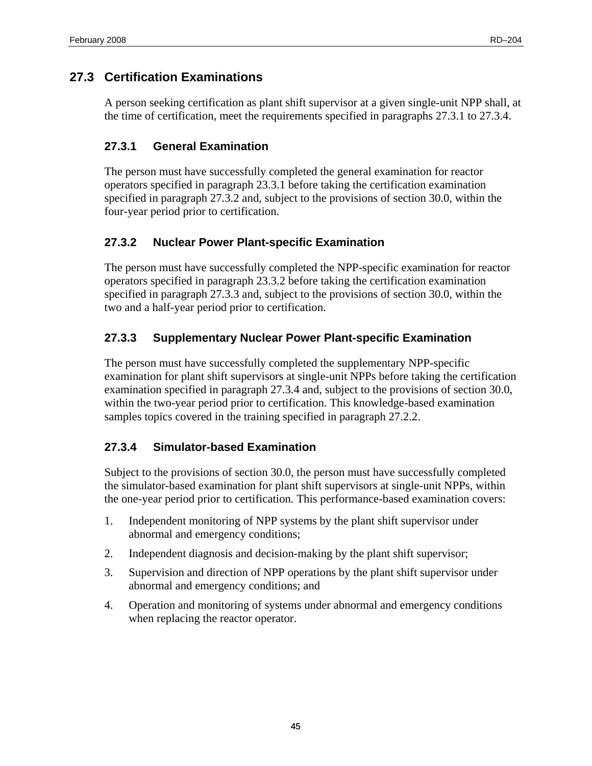# <span id="page-56-0"></span>**27.3 Certification Examinations**

A person seeking certification as plant shift supervisor at a given single-unit NPP shall, at the time of certification, meet the requirements specified in paragraphs 27.3.1 to 27.3.4.

### **27.3.1 General Examination**

The person must have successfully completed the general examination for reactor operators specified in paragraph 23.3.1 before taking the certification examination specified in paragraph 27.3.2 and, subject to the provisions of section 30.0, within the four-year period prior to certification.

## **27.3.2 Nuclear Power Plant-specific Examination**

The person must have successfully completed the NPP-specific examination for reactor operators specified in paragraph 23.3.2 before taking the certification examination specified in paragraph 27.3.3 and, subject to the provisions of section 30.0, within the two and a half-year period prior to certification.

## **27.3.3 Supplementary Nuclear Power Plant-specific Examination**

The person must have successfully completed the supplementary NPP-specific examination for plant shift supervisors at single-unit NPPs before taking the certification examination specified in paragraph 27.3.4 and, subject to the provisions of section 30.0, within the two-year period prior to certification. This knowledge-based examination samples topics covered in the training specified in paragraph 27.2.2.

# **27.3.4 Simulator-based Examination**

Subject to the provisions of section 30.0, the person must have successfully completed the simulator-based examination for plant shift supervisors at single-unit NPPs, within the one-year period prior to certification. This performance-based examination covers:

- 1. Independent monitoring of NPP systems by the plant shift supervisor under abnormal and emergency conditions;
- 2. Independent diagnosis and decision-making by the plant shift supervisor;
- 3. Supervision and direction of NPP operations by the plant shift supervisor under abnormal and emergency conditions; and
- 4. Operation and monitoring of systems under abnormal and emergency conditions when replacing the reactor operator.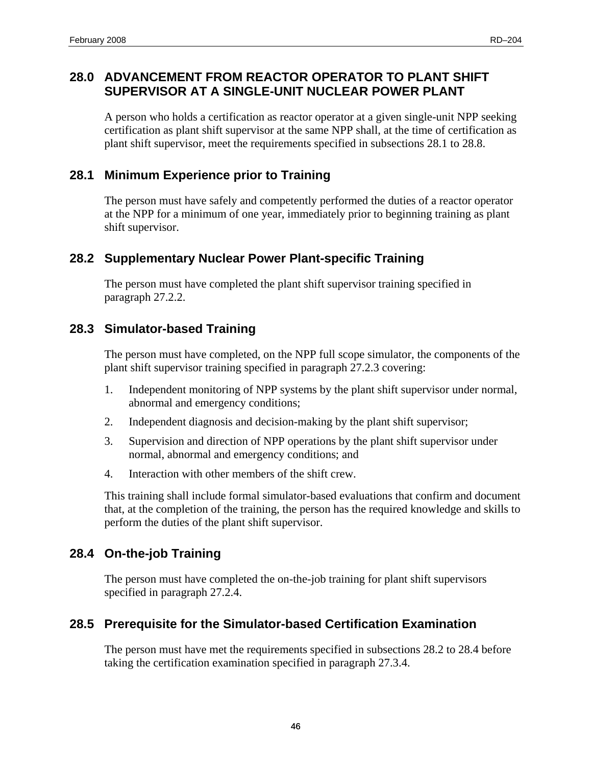## <span id="page-57-0"></span>**28.0 ADVANCEMENT FROM REACTOR OPERATOR TO PLANT SHIFT SUPERVISOR AT A SINGLE-UNIT NUCLEAR POWER PLANT**

A person who holds a certification as reactor operator at a given single-unit NPP seeking certification as plant shift supervisor at the same NPP shall, at the time of certification as plant shift supervisor, meet the requirements specified in subsections 28.1 to 28.8.

## **28.1 Minimum Experience prior to Training**

The person must have safely and competently performed the duties of a reactor operator at the NPP for a minimum of one year, immediately prior to beginning training as plant shift supervisor.

## **28.2 Supplementary Nuclear Power Plant-specific Training**

The person must have completed the plant shift supervisor training specified in paragraph 27.2.2.

# **28.3 Simulator-based Training**

The person must have completed, on the NPP full scope simulator, the components of the plant shift supervisor training specified in paragraph 27.2.3 covering:

- 1. Independent monitoring of NPP systems by the plant shift supervisor under normal, abnormal and emergency conditions;
- 2. Independent diagnosis and decision-making by the plant shift supervisor;
- 3. Supervision and direction of NPP operations by the plant shift supervisor under normal, abnormal and emergency conditions; and
- 4. Interaction with other members of the shift crew.

This training shall include formal simulator-based evaluations that confirm and document that, at the completion of the training, the person has the required knowledge and skills to perform the duties of the plant shift supervisor.

# **28.4 On-the-job Training**

The person must have completed the on-the-job training for plant shift supervisors specified in paragraph 27.2.4.

# **28.5 Prerequisite for the Simulator-based Certification Examination**

The person must have met the requirements specified in subsections 28.2 to 28.4 before taking the certification examination specified in paragraph 27.3.4.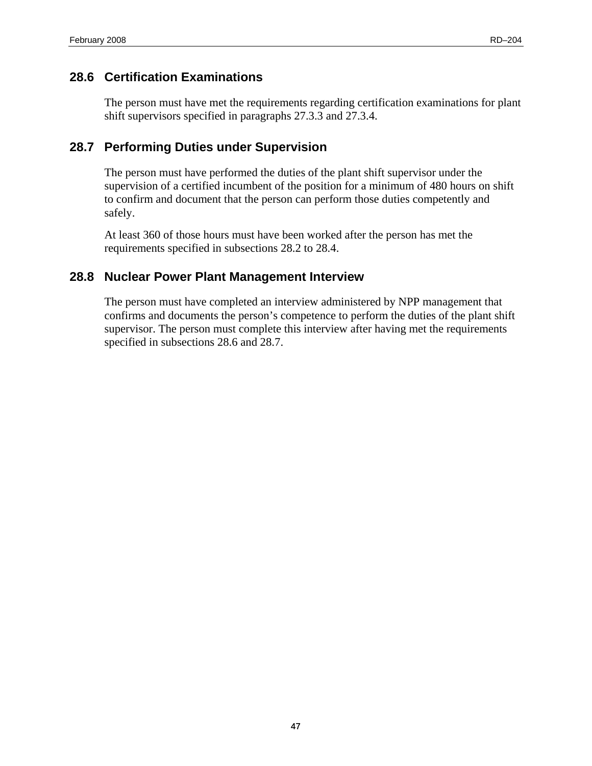### <span id="page-58-0"></span>**28.6 Certification Examinations**

The person must have met the requirements regarding certification examinations for plant shift supervisors specified in paragraphs 27.3.3 and 27.3.4.

# **28.7 Performing Duties under Supervision**

The person must have performed the duties of the plant shift supervisor under the supervision of a certified incumbent of the position for a minimum of 480 hours on shift to confirm and document that the person can perform those duties competently and safely.

At least 360 of those hours must have been worked after the person has met the requirements specified in subsections 28.2 to 28.4.

## **28.8 Nuclear Power Plant Management Interview**

The person must have completed an interview administered by NPP management that confirms and documents the person's competence to perform the duties of the plant shift supervisor. The person must complete this interview after having met the requirements specified in subsections 28.6 and 28.7.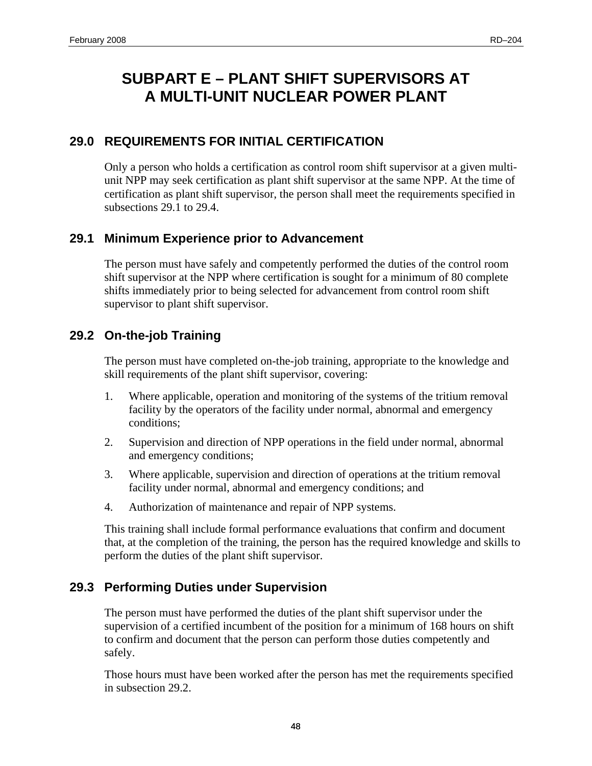# <span id="page-59-0"></span>**SUBPART E – PLANT SHIFT SUPERVISORS AT A MULTI-UNIT NUCLEAR POWER PLANT**

# **29.0 REQUIREMENTS FOR INITIAL CERTIFICATION**

Only a person who holds a certification as control room shift supervisor at a given multiunit NPP may seek certification as plant shift supervisor at the same NPP. At the time of certification as plant shift supervisor, the person shall meet the requirements specified in subsections 29.1 to 29.4.

# **29.1 Minimum Experience prior to Advancement**

The person must have safely and competently performed the duties of the control room shift supervisor at the NPP where certification is sought for a minimum of 80 complete shifts immediately prior to being selected for advancement from control room shift supervisor to plant shift supervisor.

# **29.2 On-the-job Training**

The person must have completed on-the-job training, appropriate to the knowledge and skill requirements of the plant shift supervisor, covering:

- 1. Where applicable, operation and monitoring of the systems of the tritium removal facility by the operators of the facility under normal, abnormal and emergency conditions;
- 2. Supervision and direction of NPP operations in the field under normal, abnormal and emergency conditions;
- 3. Where applicable, supervision and direction of operations at the tritium removal facility under normal, abnormal and emergency conditions; and
- 4. Authorization of maintenance and repair of NPP systems.

This training shall include formal performance evaluations that confirm and document that, at the completion of the training, the person has the required knowledge and skills to perform the duties of the plant shift supervisor.

# **29.3 Performing Duties under Supervision**

The person must have performed the duties of the plant shift supervisor under the supervision of a certified incumbent of the position for a minimum of 168 hours on shift to confirm and document that the person can perform those duties competently and safely.

Those hours must have been worked after the person has met the requirements specified in subsection 29.2.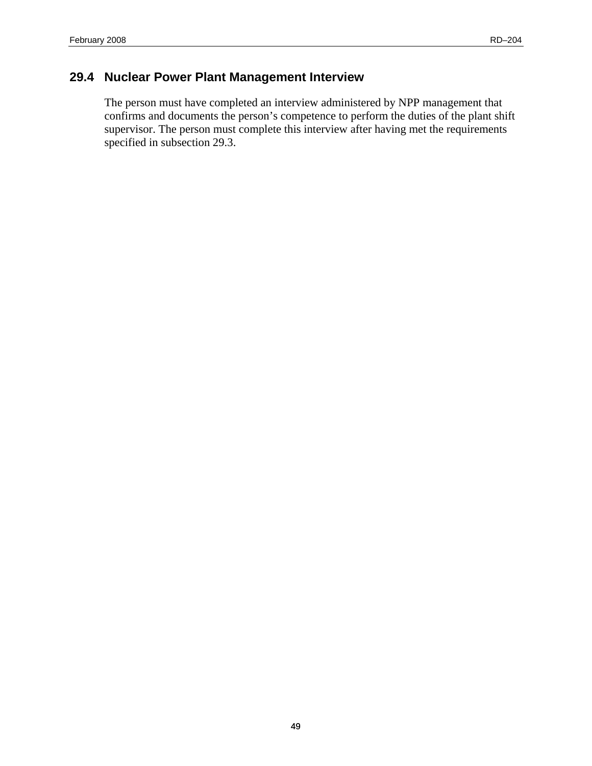#### <span id="page-60-0"></span> **29.4 Nuclear Power Plant Management Interview**

The person must have completed an interview administered by NPP management that confirms and documents the person's competence to perform the duties of the plant shift supervisor. The person must complete this interview after having met the requirements specified in subsection 29.3.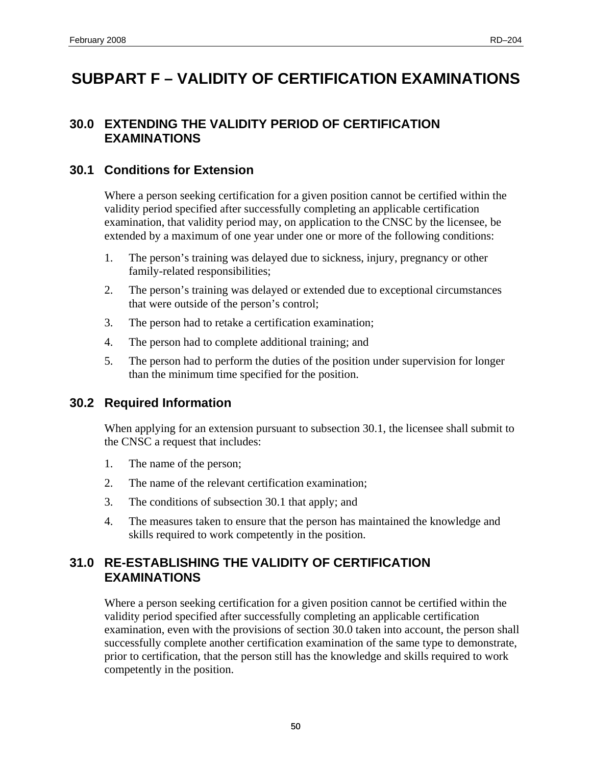# <span id="page-61-0"></span>**SUBPART F – VALIDITY OF CERTIFICATION EXAMINATIONS**

### **30.0 EXTENDING THE VALIDITY PERIOD OF CERTIFICATION EXAMINATIONS**

#### **30.1 Conditions for Extension**

Where a person seeking certification for a given position cannot be certified within the validity period specified after successfully completing an applicable certification examination, that validity period may, on application to the CNSC by the licensee, be extended by a maximum of one year under one or more of the following conditions:

- 1. The person's training was delayed due to sickness, injury, pregnancy or other family-related responsibilities;
- 2. The person's training was delayed or extended due to exceptional circumstances that were outside of the person's control;
- 3. The person had to retake a certification examination;
- 4. The person had to complete additional training; and
- 5. The person had to perform the duties of the position under supervision for longer than the minimum time specified for the position.

### **30.2 Required Information**

When applying for an extension pursuant to subsection 30.1, the licensee shall submit to the CNSC a request that includes:

- 1. The name of the person;
- 2. The name of the relevant certification examination;
- 3. The conditions of subsection 30.1 that apply; and
- 4. The measures taken to ensure that the person has maintained the knowledge and skills required to work competently in the position.

# **31.0 RE-ESTABLISHING THE VALIDITY OF CERTIFICATION EXAMINATIONS**

Where a person seeking certification for a given position cannot be certified within the validity period specified after successfully completing an applicable certification examination, even with the provisions of section 30.0 taken into account, the person shall successfully complete another certification examination of the same type to demonstrate, prior to certification, that the person still has the knowledge and skills required to work competently in the position.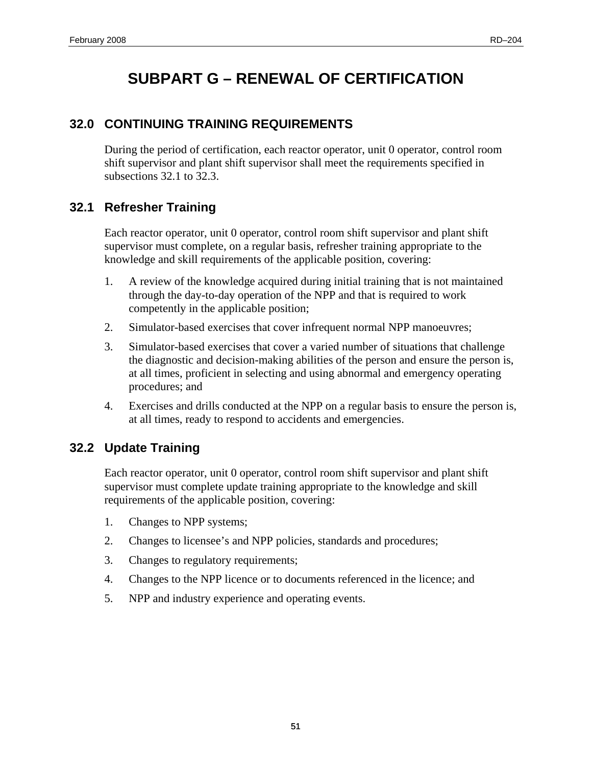# **SUBPART G – RENEWAL OF CERTIFICATION**

# <span id="page-62-0"></span>**32.0 CONTINUING TRAINING REQUIREMENTS**

During the period of certification, each reactor operator, unit 0 operator, control room shift supervisor and plant shift supervisor shall meet the requirements specified in subsections 32.1 to 32.3.

# **32.1 Refresher Training**

Each reactor operator, unit 0 operator, control room shift supervisor and plant shift supervisor must complete, on a regular basis, refresher training appropriate to the knowledge and skill requirements of the applicable position, covering:

- 1. A review of the knowledge acquired during initial training that is not maintained through the day-to-day operation of the NPP and that is required to work competently in the applicable position;
- 2. Simulator-based exercises that cover infrequent normal NPP manoeuvres;
- 3. Simulator-based exercises that cover a varied number of situations that challenge the diagnostic and decision-making abilities of the person and ensure the person is, at all times, proficient in selecting and using abnormal and emergency operating procedures; and
- 4. Exercises and drills conducted at the NPP on a regular basis to ensure the person is, at all times, ready to respond to accidents and emergencies.

# **32.2 Update Training**

Each reactor operator, unit 0 operator, control room shift supervisor and plant shift supervisor must complete update training appropriate to the knowledge and skill requirements of the applicable position, covering:

- 1. Changes to NPP systems;
- 2. Changes to licensee's and NPP policies, standards and procedures;
- 3. Changes to regulatory requirements;
- 4. Changes to the NPP licence or to documents referenced in the licence; and
- 5. NPP and industry experience and operating events.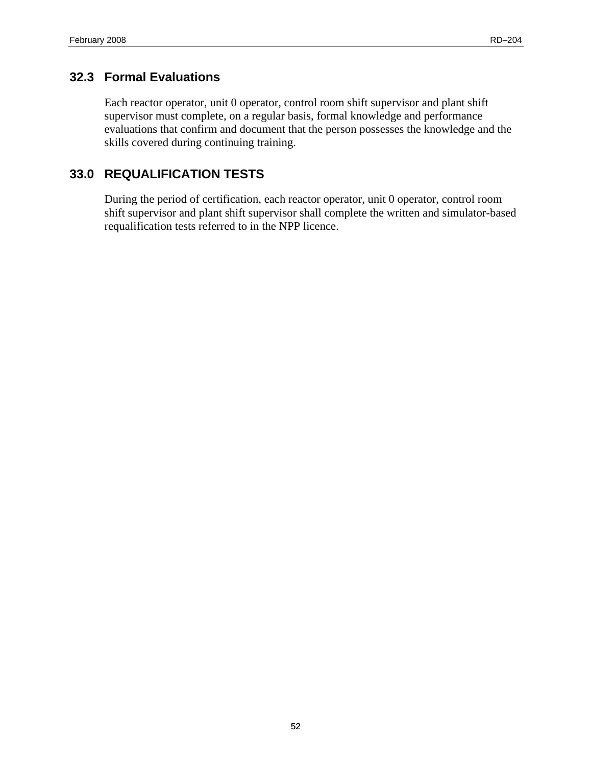# <span id="page-63-0"></span>**32.3 Formal Evaluations**

Each reactor operator, unit 0 operator, control room shift supervisor and plant shift supervisor must complete, on a regular basis, formal knowledge and performance evaluations that confirm and document that the person possesses the knowledge and the skills covered during continuing training.

# **33.0 REQUALIFICATION TESTS**

During the period of certification, each reactor operator, unit 0 operator, control room shift supervisor and plant shift supervisor shall complete the written and simulator-based requalification tests referred to in the NPP licence.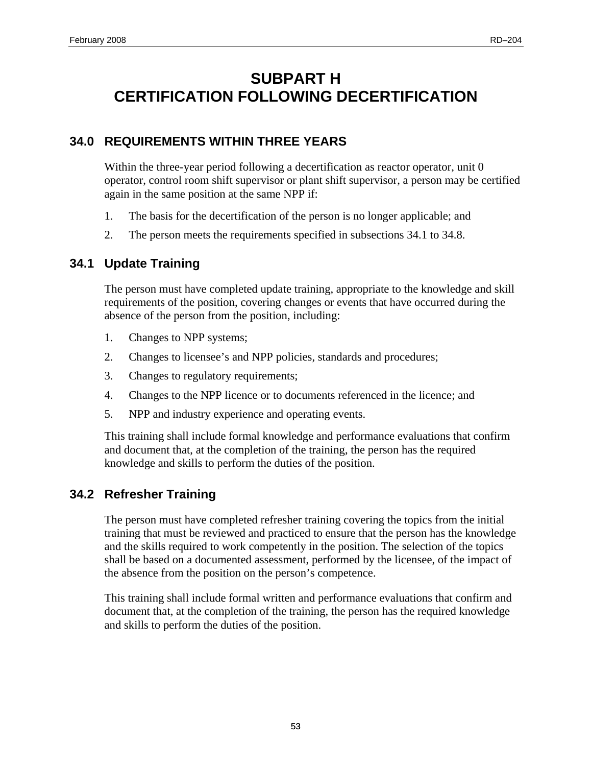# <span id="page-64-0"></span>**SUBPART H CERTIFICATION FOLLOWING DECERTIFICATION**

# **34.0 REQUIREMENTS WITHIN THREE YEARS**

Within the three-year period following a decertification as reactor operator, unit 0 operator, control room shift supervisor or plant shift supervisor, a person may be certified again in the same position at the same NPP if:

- 1. The basis for the decertification of the person is no longer applicable; and
- 2. The person meets the requirements specified in subsections 34.1 to 34.8.

# **34.1 Update Training**

The person must have completed update training, appropriate to the knowledge and skill requirements of the position, covering changes or events that have occurred during the absence of the person from the position, including:

- 1. Changes to NPP systems;
- 2. Changes to licensee's and NPP policies, standards and procedures;
- 3. Changes to regulatory requirements;
- 4. Changes to the NPP licence or to documents referenced in the licence; and
- 5. NPP and industry experience and operating events.

This training shall include formal knowledge and performance evaluations that confirm and document that, at the completion of the training, the person has the required knowledge and skills to perform the duties of the position.

### **34.2 Refresher Training**

The person must have completed refresher training covering the topics from the initial training that must be reviewed and practiced to ensure that the person has the knowledge and the skills required to work competently in the position. The selection of the topics shall be based on a documented assessment, performed by the licensee, of the impact of the absence from the position on the person's competence.

This training shall include formal written and performance evaluations that confirm and document that, at the completion of the training, the person has the required knowledge and skills to perform the duties of the position.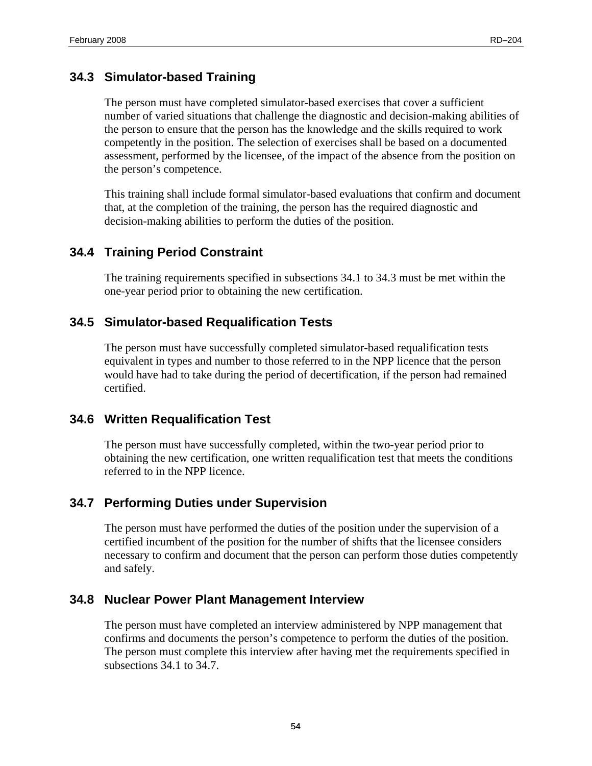### <span id="page-65-0"></span>**34.3 Simulator-based Training**

The person must have completed simulator-based exercises that cover a sufficient number of varied situations that challenge the diagnostic and decision-making abilities of the person to ensure that the person has the knowledge and the skills required to work competently in the position. The selection of exercises shall be based on a documented assessment, performed by the licensee, of the impact of the absence from the position on the person's competence.

This training shall include formal simulator-based evaluations that confirm and document that, at the completion of the training, the person has the required diagnostic and decision-making abilities to perform the duties of the position.

#### **34.4 Training Period Constraint**

The training requirements specified in subsections 34.1 to 34.3 must be met within the one-year period prior to obtaining the new certification.

#### **34.5 Simulator-based Requalification Tests**

The person must have successfully completed simulator-based requalification tests equivalent in types and number to those referred to in the NPP licence that the person would have had to take during the period of decertification, if the person had remained certified.

### **34.6 Written Requalification Test**

The person must have successfully completed, within the two-year period prior to obtaining the new certification, one written requalification test that meets the conditions referred to in the NPP licence.

### **34.7 Performing Duties under Supervision**

The person must have performed the duties of the position under the supervision of a certified incumbent of the position for the number of shifts that the licensee considers necessary to confirm and document that the person can perform those duties competently and safely.

#### **34.8 Nuclear Power Plant Management Interview**

The person must have completed an interview administered by NPP management that confirms and documents the person's competence to perform the duties of the position. The person must complete this interview after having met the requirements specified in subsections 34.1 to 34.7.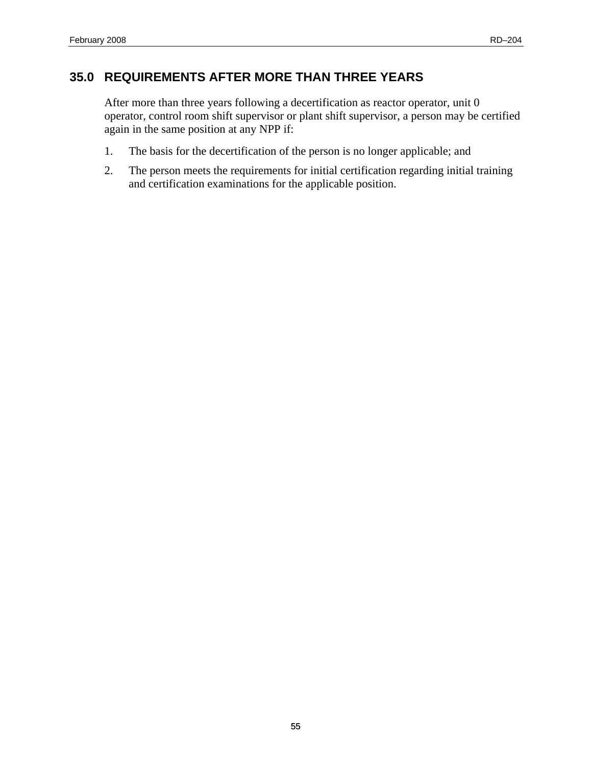# <span id="page-66-0"></span>**35.0 REQUIREMENTS AFTER MORE THAN THREE YEARS**

After more than three years following a decertification as reactor operator, unit 0 operator, control room shift supervisor or plant shift supervisor, a person may be certified again in the same position at any NPP if:

- 1. The basis for the decertification of the person is no longer applicable; and
- 2. The person meets the requirements for initial certification regarding initial training and certification examinations for the applicable position.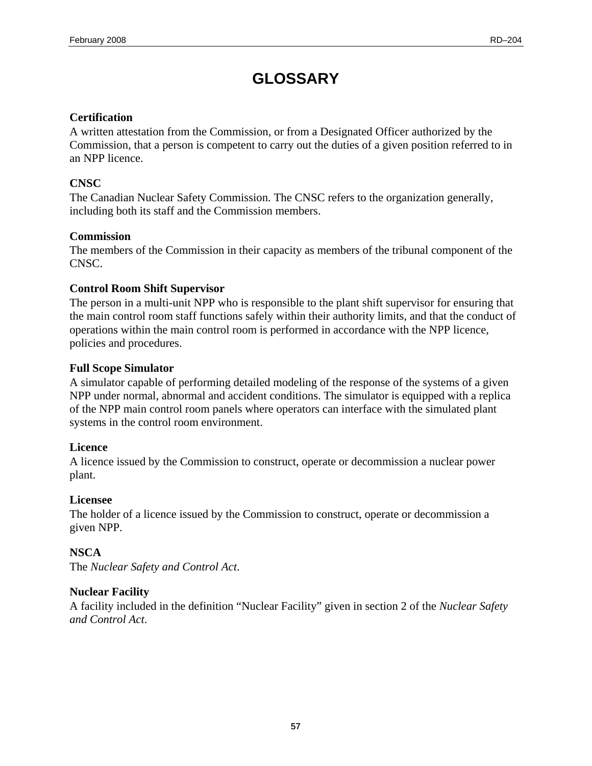# **GLOSSARY**

#### <span id="page-68-0"></span>**Certification**

A written attestation from the Commission, or from a Designated Officer authorized by the Commission, that a person is competent to carry out the duties of a given position referred to in an NPP licence.

#### **CNSC**

The Canadian Nuclear Safety Commission. The CNSC refers to the organization generally, including both its staff and the Commission members.

#### **Commission**

The members of the Commission in their capacity as members of the tribunal component of the CNSC.

#### **Control Room Shift Supervisor**

The person in a multi-unit NPP who is responsible to the plant shift supervisor for ensuring that the main control room staff functions safely within their authority limits, and that the conduct of operations within the main control room is performed in accordance with the NPP licence, policies and procedures.

#### **Full Scope Simulator**

A simulator capable of performing detailed modeling of the response of the systems of a given NPP under normal, abnormal and accident conditions. The simulator is equipped with a replica of the NPP main control room panels where operators can interface with the simulated plant systems in the control room environment.

#### **Licence**

A licence issued by the Commission to construct, operate or decommission a nuclear power plant.

#### **Licensee**

The holder of a licence issued by the Commission to construct, operate or decommission a given NPP.

### **NSCA**

The *Nuclear Safety and Control Act*.

#### **Nuclear Facility**

A facility included in the definition "Nuclear Facility" given in section 2 of the *Nuclear Safety and Control Act*.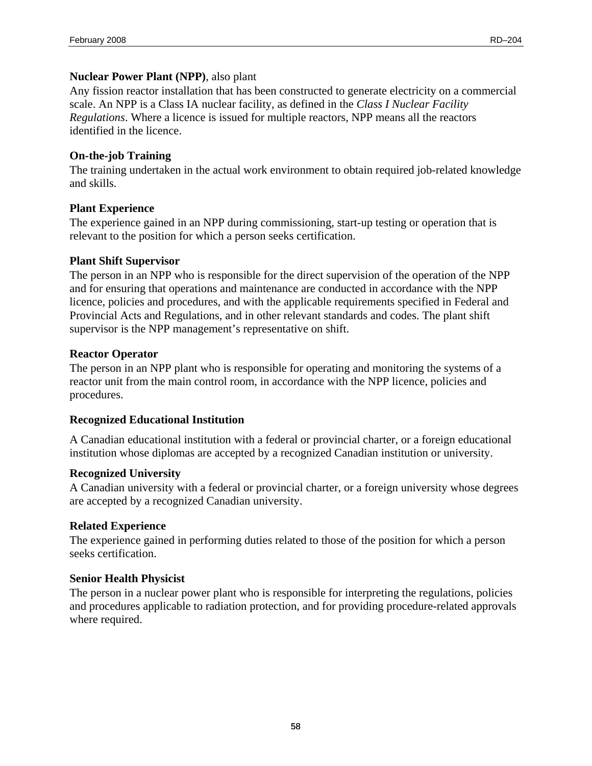#### **Nuclear Power Plant (NPP)**, also plant

Any fission reactor installation that has been constructed to generate electricity on a commercial scale. An NPP is a Class IA nuclear facility, as defined in the *Class I Nuclear Facility Regulations*. Where a licence is issued for multiple reactors, NPP means all the reactors identified in the licence.

#### **On-the-job Training**

The training undertaken in the actual work environment to obtain required job-related knowledge and skills.

#### **Plant Experience**

The experience gained in an NPP during commissioning, start-up testing or operation that is relevant to the position for which a person seeks certification.

#### **Plant Shift Supervisor**

The person in an NPP who is responsible for the direct supervision of the operation of the NPP and for ensuring that operations and maintenance are conducted in accordance with the NPP licence, policies and procedures, and with the applicable requirements specified in Federal and Provincial Acts and Regulations, and in other relevant standards and codes. The plant shift supervisor is the NPP management's representative on shift.

#### **Reactor Operator**

The person in an NPP plant who is responsible for operating and monitoring the systems of a reactor unit from the main control room, in accordance with the NPP licence, policies and procedures.

#### **Recognized Educational Institution**

A Canadian educational institution with a federal or provincial charter, or a foreign educational institution whose diplomas are accepted by a recognized Canadian institution or university.

#### **Recognized University**

A Canadian university with a federal or provincial charter, or a foreign university whose degrees are accepted by a recognized Canadian university.

#### **Related Experience**

The experience gained in performing duties related to those of the position for which a person seeks certification.

#### **Senior Health Physicist**

The person in a nuclear power plant who is responsible for interpreting the regulations, policies and procedures applicable to radiation protection, and for providing procedure-related approvals where required.